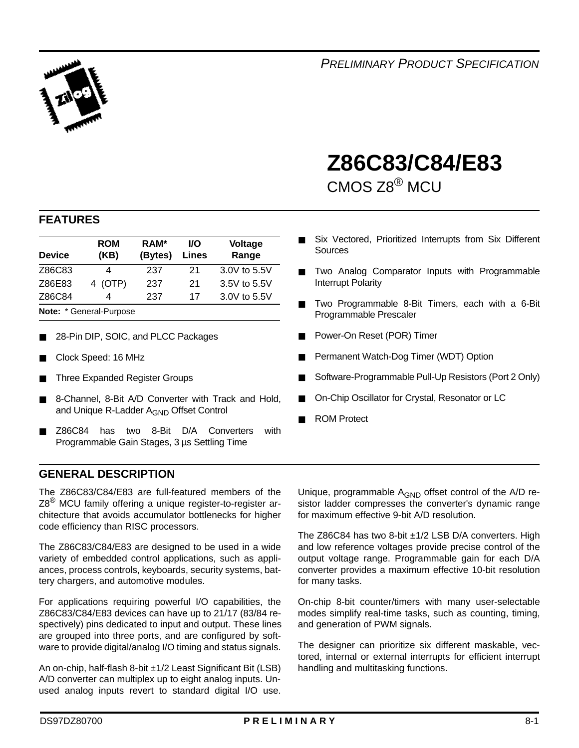

# **Z86C83/C84/E83** <sup>1</sup>

CMOS Z8® MCU

### **FEATURES**

| <b>Device</b>     | <b>ROM</b><br>(KB)      | <b>I/O</b><br>Lines | <b>Voltage</b><br>Range |              |  |  |  |  |
|-------------------|-------------------------|---------------------|-------------------------|--------------|--|--|--|--|
| Z86C83            |                         | 21                  | 3.0V to 5.5V            |              |  |  |  |  |
| Z86E83<br>4 (OTP) |                         | 237                 | 21                      | 3.5V to 5.5V |  |  |  |  |
| Z86C84            | 4                       | 237                 | 17                      | 3.0V to 5.5V |  |  |  |  |
|                   | Note: * General-Purpose |                     |                         |              |  |  |  |  |

- 28-Pin DIP, SOIC, and PLCC Packages
- Clock Speed: 16 MHz
- Three Expanded Register Groups
- 8-Channel, 8-Bit A/D Converter with Track and Hold, and Unique R-Ladder A<sub>GND</sub> Offset Control
- Z86C84 has two 8-Bit D/A Converters with Programmable Gain Stages, 3 µs Settling Time

#### **GENERAL DESCRIPTION**

The Z86C83/C84/E83 are full-featured members of the Z8<sup>®</sup> MCU family offering a unique register-to-register architecture that avoids accumulator bottlenecks for higher code efficiency than RISC processors.

The Z86C83/C84/E83 are designed to be used in a wide variety of embedded control applications, such as appliances, process controls, keyboards, security systems, battery chargers, and automotive modules.

For applications requiring powerful I/O capabilities, the Z86C83/C84/E83 devices can have up to 21/17 (83/84 respectively) pins dedicated to input and output. These lines are grouped into three ports, and are configured by software to provide digital/analog I/O timing and status signals.

An on-chip, half-flash 8-bit ±1/2 Least Significant Bit (LSB) A/D converter can multiplex up to eight analog inputs. Unused analog inputs revert to standard digital I/O use.

- Six Vectored, Prioritized Interrupts from Six Different **Sources**
- Two Analog Comparator Inputs with Programmable Interrupt Polarity
- Two Programmable 8-Bit Timers, each with a 6-Bit Programmable Prescaler
- Power-On Reset (POR) Timer
- Permanent Watch-Dog Timer (WDT) Option
- Software-Programmable Pull-Up Resistors (Port 2 Only)
- On-Chip Oscillator for Crystal, Resonator or LC
- **ROM Protect**

Unique, programmable  $A_{GND}$  offset control of the  $A/D$  resistor ladder compresses the converter's dynamic range for maximum effective 9-bit A/D resolution.

The Z86C84 has two 8-bit  $\pm$ 1/2 LSB D/A converters. High and low reference voltages provide precise control of the output voltage range. Programmable gain for each D/A converter provides a maximum effective 10-bit resolution for many tasks.

On-chip 8-bit counter/timers with many user-selectable modes simplify real-time tasks, such as counting, timing, and generation of PWM signals.

The designer can prioritize six different maskable, vectored, internal or external interrupts for efficient interrupt handling and multitasking functions.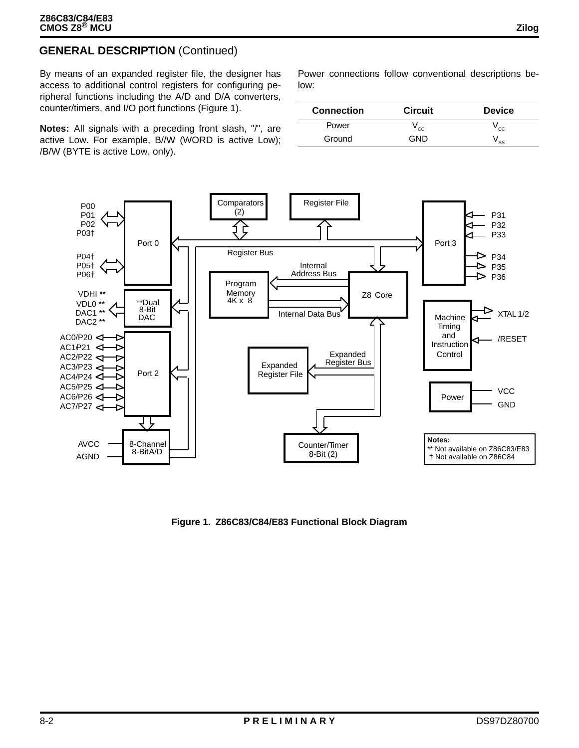### **GENERAL DESCRIPTION** (Continued)

By means of an expanded register file, the designer has access to additional control registers for configuring peripheral functions including the A/D and D/A converters, counter/timers, and I/O port functions (Figure 1).

**Notes:** All signals with a preceding front slash, "/", are active Low. For example, B//W (WORD is active Low); /B/W (BYTE is active Low, only).

Power connections follow conventional descriptions below:

| <b>Connection</b> | <b>Circuit</b> | <b>Device</b>              |
|-------------------|----------------|----------------------------|
| Power             | y cc           | y cc                       |
| Ground            | חור            | $\mathsf{v}_{\mathsf{SS}}$ |



**Figure 1. Z86C83/C84/E83 Functional Block Diagram**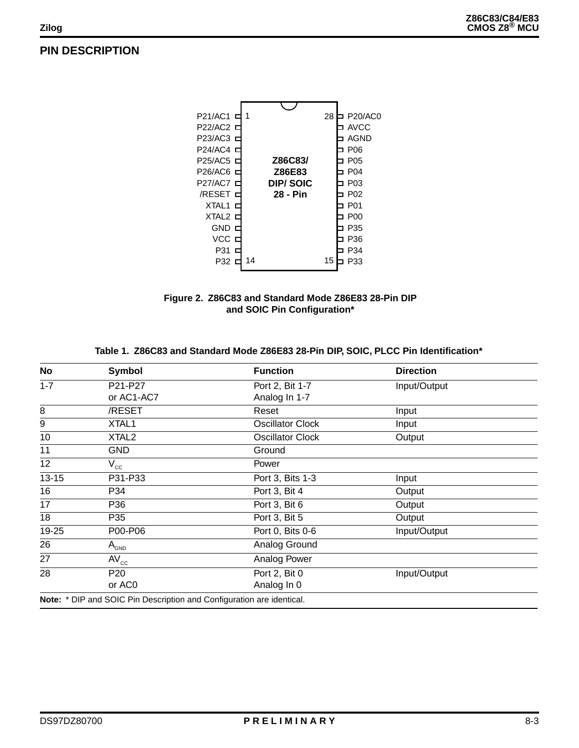### **PIN DESCRIPTION**





#### **Table 1. Z86C83 and Standard Mode Z86E83 28-Pin DIP, SOIC, PLCC Pin Identification\***

| No               | <b>Symbol</b>                                                         | <b>Function</b>         | <b>Direction</b> |  |
|------------------|-----------------------------------------------------------------------|-------------------------|------------------|--|
| $1 - 7$          | P21-P27                                                               | Port 2, Bit 1-7         | Input/Output     |  |
|                  | or AC1-AC7                                                            | Analog In 1-7           |                  |  |
| 8                | /RESET                                                                | Reset                   | Input            |  |
| $\boldsymbol{9}$ | XTAL1                                                                 | <b>Oscillator Clock</b> | Input            |  |
| $10$             | XTAL <sub>2</sub>                                                     | <b>Oscillator Clock</b> | Output           |  |
| 11               | <b>GND</b>                                                            | Ground                  |                  |  |
| 12               | $V_{cc}$                                                              | Power                   |                  |  |
| $13 - 15$        | P31-P33                                                               | Port 3, Bits 1-3        | Input            |  |
| 16               | P34                                                                   | Port 3, Bit 4           | Output           |  |
| 17               | P36                                                                   | Port 3, Bit 6           | Output           |  |
| 18               | P35                                                                   | Port 3, Bit 5           | Output           |  |
| 19-25            | P00-P06                                                               | Port 0, Bits 0-6        | Input/Output     |  |
| 26               | $A_{_{\mathsf{GND}}}$                                                 | Analog Ground           |                  |  |
| 27               | $AV_{cc}$                                                             | Analog Power            |                  |  |
| 28               | P <sub>20</sub>                                                       | Port 2, Bit 0           | Input/Output     |  |
|                  | or AC <sub>0</sub>                                                    | Analog In 0             |                  |  |
|                  | Note: * DIP and SOIC Pin Description and Configuration are identical. |                         |                  |  |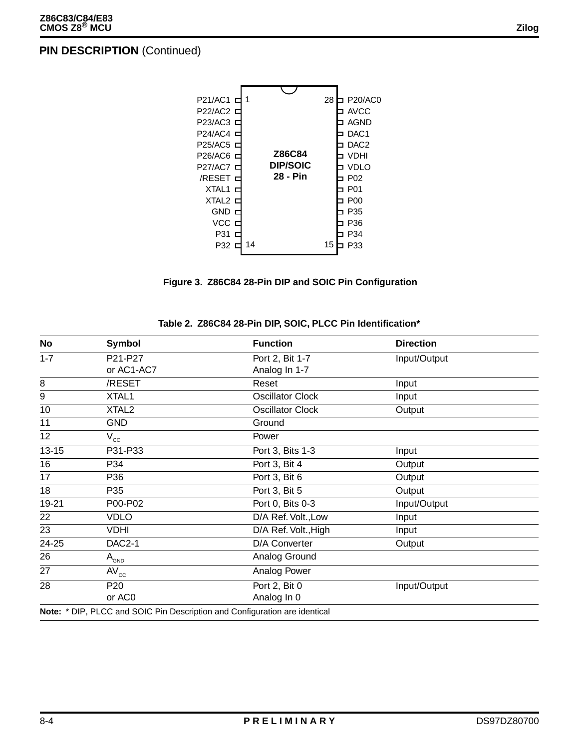

**Figure 3. Z86C84 28-Pin DIP and SOIC Pin Configuration**

| No                        | Symbol            | <b>Function</b>                                                            | <b>Direction</b> |  |
|---------------------------|-------------------|----------------------------------------------------------------------------|------------------|--|
| $1 - 7$                   | P21-P27           | Port 2, Bit 1-7                                                            | Input/Output     |  |
|                           | or AC1-AC7        | Analog In 1-7                                                              |                  |  |
| $\overline{\overline{8}}$ | /RESET            | Reset                                                                      | Input            |  |
| $\overline{9}$            | XTAL1             | <b>Oscillator Clock</b>                                                    | Input            |  |
| 10                        | XTAL <sub>2</sub> | <b>Oscillator Clock</b>                                                    | Output           |  |
| 11                        | <b>GND</b>        | Ground                                                                     |                  |  |
| 12 <sub>2</sub>           | $V_{cc}$          | Power                                                                      |                  |  |
| $13 - 15$                 | P31-P33           | Port 3, Bits 1-3                                                           | Input            |  |
| 16                        | P34               | Port 3, Bit 4                                                              | Output           |  |
| 17                        | P36               | Port 3, Bit 6                                                              | Output           |  |
| 18                        | P35               | Port 3, Bit 5                                                              | Output           |  |
| 19-21                     | P00-P02           | Port 0, Bits 0-3                                                           | Input/Output     |  |
| 22                        | <b>VDLO</b>       | D/A Ref. Volt., Low                                                        | Input            |  |
| 23                        | <b>VDHI</b>       | D/A Ref. Volt., High                                                       | Input            |  |
| 24-25                     | <b>DAC2-1</b>     | D/A Converter                                                              | Output           |  |
| 26                        | $A_{GND}$         | Analog Ground                                                              |                  |  |
| 27                        | $AV_{cc}$         | Analog Power                                                               |                  |  |
| 28                        | P <sub>20</sub>   | Port 2, Bit 0                                                              | Input/Output     |  |
|                           | or AC0            | Analog In 0                                                                |                  |  |
|                           |                   | Note: * DIP, PLCC and SOIC Pin Description and Configuration are identical |                  |  |

#### **Table 2. Z86C84 28-Pin DIP, SOIC, PLCC Pin Identification\***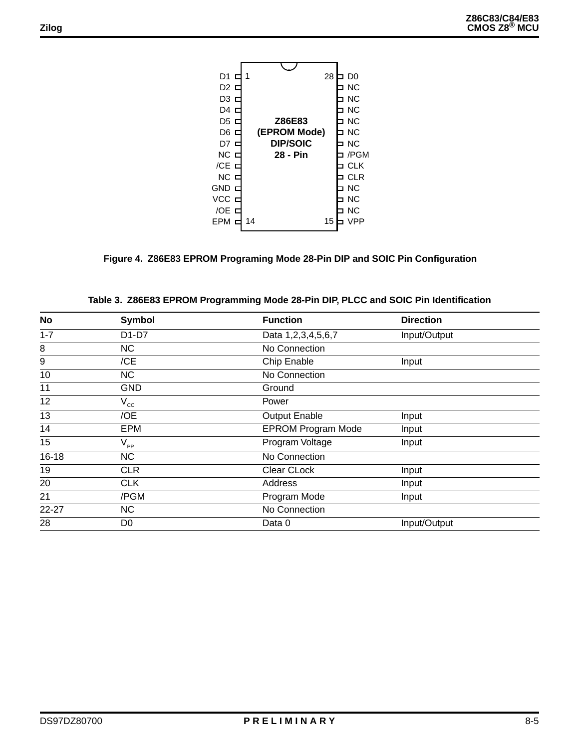| D1         |                 | 28 | DO         |
|------------|-----------------|----|------------|
| D2.        |                 |    | <b>NC</b>  |
| D3.        |                 |    | <b>NC</b>  |
| D4.        |                 |    | <b>NC</b>  |
| D5         | Z86E83          |    | <b>NC</b>  |
| D6 ⊏       | (EPROM Mode)    |    | <b>NC</b>  |
| D7         | <b>DIP/SOIC</b> |    | <b>NC</b>  |
| NCE        | 28 - Pin        |    | /PGM       |
| /CE D      |                 |    | <b>CLK</b> |
| NCE        |                 |    | CL R       |
| GNDE       |                 |    | <b>NC</b>  |
| <b>VCC</b> |                 |    | <b>NC</b>  |
| /OE        |                 |    | <b>NC</b>  |
| <b>EPM</b> | 14              | 15 |            |
|            |                 |    |            |

### **Figure 4. Z86E83 EPROM Programing Mode 28-Pin DIP and SOIC Pin Configuration**

| No        | <b>Symbol</b>  | <b>Function</b>           | <b>Direction</b> |
|-----------|----------------|---------------------------|------------------|
| $1 - 7$   | D1-D7          | Data 1,2,3,4,5,6,7        | Input/Output     |
| 8         | NC             | No Connection             |                  |
| 9         | /CE            | Chip Enable               | Input            |
| 10        | <b>NC</b>      | No Connection             |                  |
| 11        | <b>GND</b>     | Ground                    |                  |
| 12        | $V_{cc}$       | Power                     |                  |
| 13        | /OE            | Output Enable             | Input            |
| 14        | <b>EPM</b>     | <b>EPROM Program Mode</b> | Input            |
| 15        | $V_{\rm pp}$   | Program Voltage           | Input            |
| $16 - 18$ | <b>NC</b>      | No Connection             |                  |
| 19        | <b>CLR</b>     | Clear CLock               | Input            |
| 20        | <b>CLK</b>     | Address                   | Input            |
| 21        | /PGM           | Program Mode              | Input            |
| 22-27     | <b>NC</b>      | No Connection             |                  |
| 28        | D <sub>0</sub> | Data 0                    | Input/Output     |

|  |  |  |  |  |  | Table 3.  Z86E83 EPROM Programming Mode 28-Pin DIP, PLCC and SOIC Pin Identification |
|--|--|--|--|--|--|--------------------------------------------------------------------------------------|
|--|--|--|--|--|--|--------------------------------------------------------------------------------------|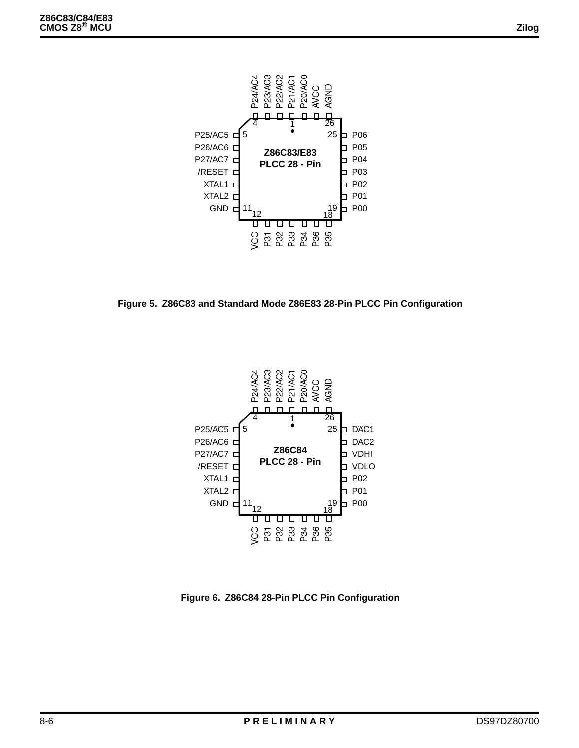

**Figure 5. Z86C83 and Standard Mode Z86E83 28-Pin PLCC Pin Configuration**



**Figure 6. Z86C84 28-Pin PLCC Pin Configuration**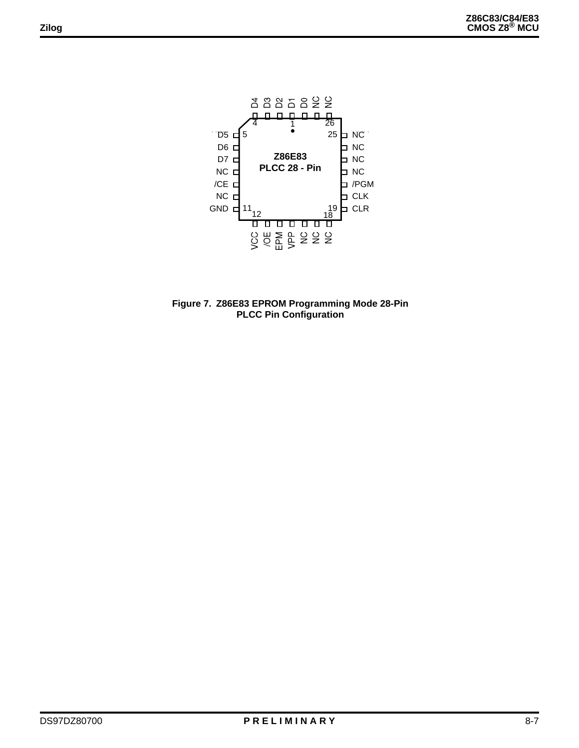

**Figure 7. Z86E83 EPROM Programming Mode 28-Pin PLCC Pin Configuration**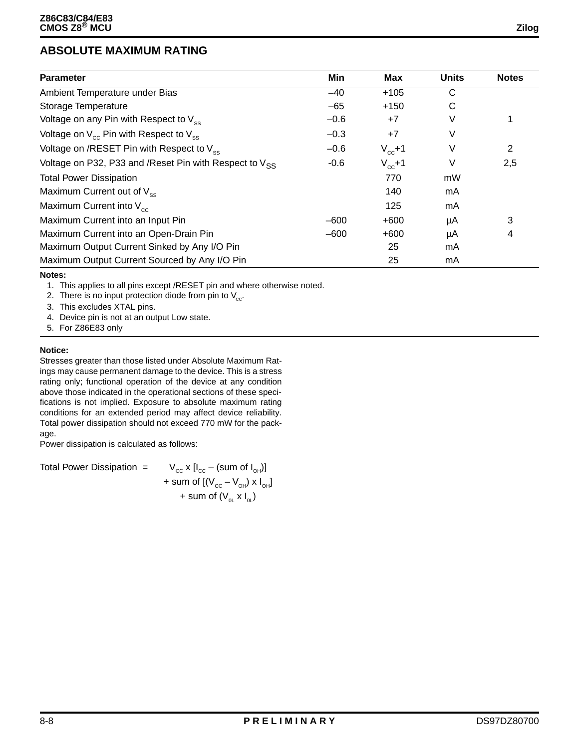### **ABSOLUTE MAXIMUM RATING**

| <b>Parameter</b>                                             | Min    | <b>Max</b>  | <b>Units</b> | <b>Notes</b> |
|--------------------------------------------------------------|--------|-------------|--------------|--------------|
| Ambient Temperature under Bias                               | $-40$  | $+105$      | C            |              |
| Storage Temperature                                          | $-65$  | $+150$      | C            |              |
| Voltage on any Pin with Respect to $V_{\rm sc}$              | $-0.6$ | $+7$        | V            | 1            |
| Voltage on $V_{cc}$ Pin with Respect to $V_{ss}$             | $-0.3$ | $+7$        | V            |              |
| Voltage on /RESET Pin with Respect to $V_{\infty}$           | $-0.6$ | $V_{cc}$ +1 | V            | 2            |
| Voltage on P32, P33 and / Reset Pin with Respect to $V_{SS}$ | $-0.6$ | $V_{cc}$ +1 | V            | 2,5          |
| <b>Total Power Dissipation</b>                               |        | 770         | mW           |              |
| Maximum Current out of $V_{ss}$                              |        | 140         | mA           |              |
| Maximum Current into $V_{cc}$                                |        | 125         | mA           |              |
| Maximum Current into an Input Pin                            | $-600$ | $+600$      | μA           | 3            |
| Maximum Current into an Open-Drain Pin                       | $-600$ | $+600$      | μA           | 4            |
| Maximum Output Current Sinked by Any I/O Pin                 |        | 25          | mA           |              |
| Maximum Output Current Sourced by Any I/O Pin                |        | 25          | mA           |              |

#### **Notes:**

1. This applies to all pins except /RESET pin and where otherwise noted.

2. There is no input protection diode from pin to  $V_{\text{cc}}$ .

3. This excludes XTAL pins.

4. Device pin is not at an output Low state.

5. For Z86E83 only

#### **Notice:**

Stresses greater than those listed under Absolute Maximum Ratings may cause permanent damage to the device. This is a stress rating only; functional operation of the device at any condition above those indicated in the operational sections of these specifications is not implied. Exposure to absolute maximum rating conditions for an extended period may affect device reliability. Total power dissipation should not exceed 770 mW for the package.

Power dissipation is calculated as follows:

Total Power Dissipation =  $V_{cc} x [I_{cc} - (sum \ of \ I_{OH})]$ + sum of  $[(V_{_{CC}} - V_{_{OH}}) \times I_{_{OH}}]$ + sum of  $(V_{0L} \times I_{0L})$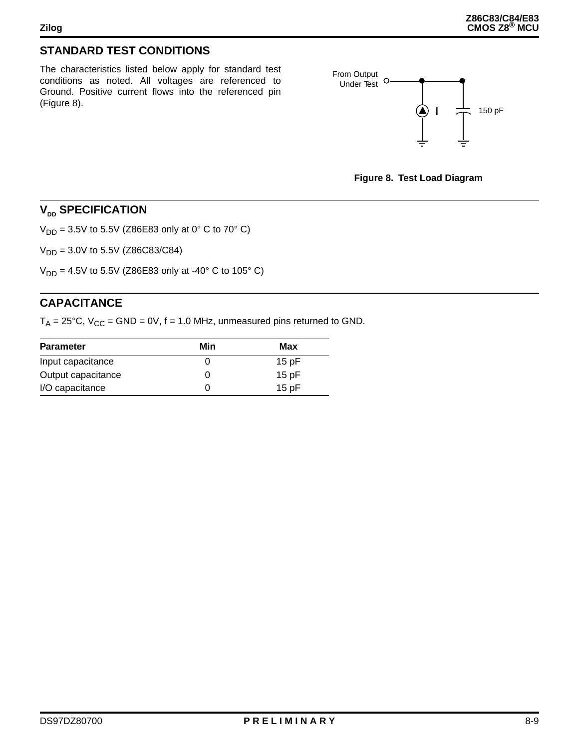### **STANDARD TEST CONDITIONS**

The characteristics listed below apply for standard test conditions as noted. All voltages are referenced to Ground. Positive current flows into the referenced pin (Figure 8).





### **V<sub>DD</sub>** SPECIFICATION

 $V_{DD} = 3.5V$  to 5.5V (Z86E83 only at 0° C to 70° C)

 $V_{DD} = 3.0V$  to 5.5V (Z86C83/C84)

 $V_{DD} = 4.5V$  to 5.5V (Z86E83 only at -40° C to 105° C)

### **CAPACITANCE**

 $T_A = 25^{\circ}$ C,  $V_{CC} = GND = 0V$ , f = 1.0 MHz, unmeasured pins returned to GND.

| <b>Parameter</b>   | Min | Max     |
|--------------------|-----|---------|
| Input capacitance  |     | 15 $pF$ |
| Output capacitance |     | 15 $pF$ |
| I/O capacitance    |     | 15 pF   |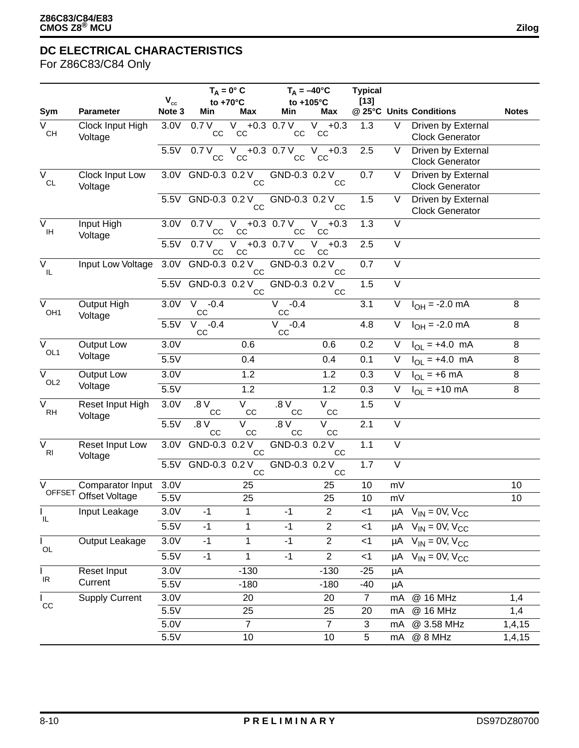For Z86C83/C84 Only

|                                          |                             |                    | $T_A = 0^\circ C$      |                       | $T_A = -40$ °C                  |                    | <b>Typical</b> |                   |                                               |              |
|------------------------------------------|-----------------------------|--------------------|------------------------|-----------------------|---------------------------------|--------------------|----------------|-------------------|-----------------------------------------------|--------------|
| Sym                                      | <b>Parameter</b>            | $V_{cc}$<br>Note 3 | to +70°C<br>Min        | Max                   | to +105°C<br>Min                | Max                | $[13]$         |                   | @ 25°C Units Conditions                       | <b>Notes</b> |
| $\overline{\mathsf{v}}$                  | Clock Input High            | 3.0V               | 0.7V                   | V.                    | $+0.3$ 0.7 V                    | V.<br>$+0.3$       | 1.3            | V                 | Driven by External                            |              |
| CH                                       | Voltage                     |                    | CC                     | CC                    | CС                              | CC                 |                |                   | <b>Clock Generator</b>                        |              |
|                                          |                             | 5.5V               | 0.7V                   | $V +0.3 0.7 V$        |                                 | $V + 0.3$          | 2.5            | $\vee$            | Driven by External                            |              |
|                                          |                             |                    | CC                     | cc                    | CС                              | CC                 |                |                   | <b>Clock Generator</b>                        |              |
| $\overline{\mathsf{v}}$<br>$\mathsf{CL}$ | Clock Input Low<br>Voltage  | 3.0V               | GND-0.3 0.2 V          | cc                    | GND-0.3 0.2 V                   | CС                 | 0.7            | V                 | Driven by External<br><b>Clock Generator</b>  |              |
|                                          |                             |                    | 5.5V GND-0.3 0.2 V     | CC                    | GND-0.3 0.2 V                   | CC                 | 1.5            | V                 | Driven by External<br><b>Clock Generator</b>  |              |
| $\overline{\mathsf{v}}$<br>IH            | Input High<br>Voltage       | 3.0V               | 0.7V<br>cc             | V –<br>CC             | $+0.3$ 0.7 V<br>cc              | V.<br>$+0.3$<br>CC | 1.3            | $\vee$            |                                               |              |
|                                          |                             | 5.5V               | 0.7V<br>CC             | $V_{\parallel}$<br>CC | $+0.3$ 0.7 V<br>cc              | V<br>$+0.3$<br>CC  | 2.5            | $\vee$            |                                               |              |
| $\overline{\vee}$<br>IL.                 | Input Low Voltage           | 3.0V               | GND-0.3 0.2 V          | CC                    | GND-0.3 0.2 V                   | <b>CC</b>          | 0.7            | $\overline{\vee}$ |                                               |              |
|                                          |                             | 5.5V               | GND-0.3 0.2 V          | CC                    | GND-0.3 0.2 V                   | <b>CC</b>          | 1.5            | $\vee$            |                                               |              |
| $\overline{\vee}$<br>OH <sub>1</sub>     | Output High<br>Voltage      | 3.0V               | $V - 0.4$<br>CC        |                       | V.<br>$-0.4$<br>CC              |                    | 3.1            | $\vee$            | $I_{OH} = -2.0$ mA                            | 8            |
|                                          |                             | 5.5V               | V<br>$-0.4$<br>CC      |                       | V<br>$-0.4$<br>CC               |                    | 4.8            | V                 | $I_{OH} = -2.0 \text{ mA}$                    | 8            |
| $\overline{\vee}$<br>OL1                 | <b>Output Low</b>           | 3.0V               |                        | 0.6                   |                                 | 0.6                | 0.2            | V                 | $I_{OL}$ = +4.0 mA                            | 8            |
|                                          | Voltage                     | 5.5V               |                        | 0.4                   |                                 | 0.4                | 0.1            | V                 | $I_{OL}$ = +4.0 mA                            | 8            |
| $\overline{V}$                           | Output Low                  | 3.0V               |                        | 1.2                   |                                 | 1.2                | 0.3            | V                 | $I_{OL}$ = +6 mA                              | $\bf 8$      |
| OL <sub>2</sub>                          | Voltage                     | 5.5V               |                        | 1.2                   |                                 | 1.2                | 0.3            | V                 | $I_{OL}$ = +10 mA                             | 8            |
| $\overline{\vee}$<br><b>RH</b>           | Reset Input High<br>Voltage | 3.0V               | 0.8 <sub>0</sub><br>CC | V<br>CC               | .8 V<br>CC                      | V<br>CC            | 1.5            | $\overline{\vee}$ |                                               |              |
|                                          |                             | 5.5V               | $V_8$<br>CC            | V<br>CC               | 0.8 <sub>0</sub><br>$_{\rm CC}$ | V<br>CC            | 2.1            | $\vee$            |                                               |              |
| $\overline{\vee}$<br>R <sub>l</sub>      | Reset Input Low<br>Voltage  | 3.0V               | GND-0.3                | 0.2V<br>CC            | GND-0.3 0.2 V                   | cc                 | 1.1            | $\overline{\vee}$ |                                               |              |
|                                          |                             | 5.5V               | GND-0.3 0.2 V          | CC                    | GND-0.3 0.2 V                   | CC                 | 1.7            | $\overline{\vee}$ |                                               |              |
| $\vee$                                   | Comparator Input            | 3.0V               |                        | 25                    |                                 | 25                 | 10             | mV                |                                               | 10           |
|                                          | OFFSET Offset Voltage       | 5.5V               |                        | 25                    |                                 | 25                 | 10             | mV                |                                               | 10           |
| $\mathbf{L}$<br>IL.                      | Input Leakage               | 3.0V               | $-1$                   | 1                     | $-1$                            | $\overline{c}$     | $<$ 1          |                   | $\mu$ A V <sub>IN</sub> = 0V, V <sub>CC</sub> |              |
|                                          |                             | 5.5V               | $-1$                   | 1                     | $-1$                            | $\overline{2}$     | $<$ 1          |                   | $\mu A$ V <sub>IN</sub> = 0V, V <sub>CC</sub> |              |
| $\mathbf{L}$<br>$OL$                     | Output Leakage              | 3.0V               | $-1$                   | 1                     | $-1$                            | $\overline{2}$     | $<$ 1          |                   | $\mu A$ $V_{IN} = 0V$ , $V_{CC}$              |              |
|                                          |                             | 5.5V               | $-1$                   | $\mathbf{1}$          | $-1$                            | $\mathbf{2}$       | $<$ 1          |                   | $\mu$ A V <sub>IN</sub> = 0V, V <sub>CC</sub> |              |
| $\mathbf{L}$                             | Reset Input                 | 3.0V               |                        | $-130$                |                                 | $-130$             | $-25$          | μA                |                                               |              |
| IR                                       | Current                     | 5.5V               |                        | $-180$                |                                 | $-180$             | $-40$          | μA                |                                               |              |
| L<br>CC                                  | <b>Supply Current</b>       | 3.0V               |                        | 20                    |                                 | 20                 | $\overline{7}$ | mA                | @ 16 MHz                                      | 1,4          |
|                                          |                             | 5.5V               |                        | 25                    |                                 | 25                 | 20             | mA                | @ 16 MHz                                      | 1,4          |
|                                          |                             | 5.0V               |                        | $\overline{7}$        |                                 | $\overline{7}$     | 3              | mA                | @ 3.58 MHz                                    | 1,4,15       |
|                                          |                             | 5.5V               |                        | 10                    |                                 | 10                 | 5              | mA                | @ 8 MHz                                       | 1,4,15       |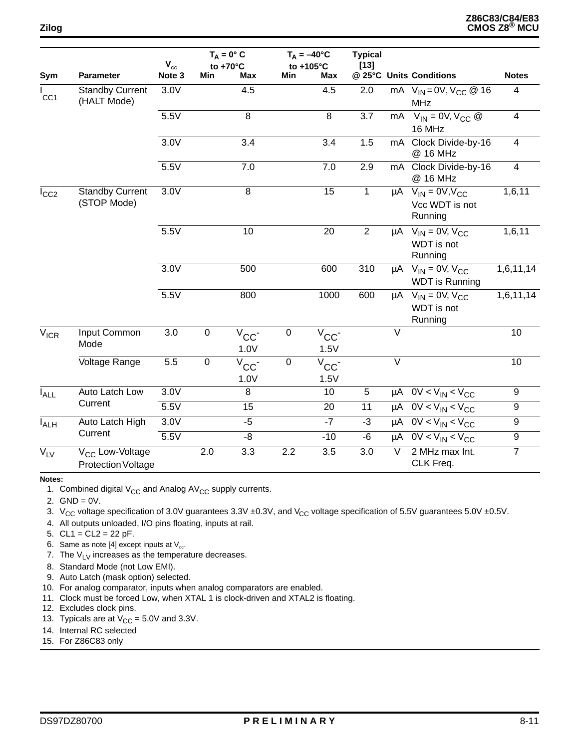|                    |                                                          | $\mathbf{V}_{\mathrm{cc}}$ | $T_A = 0^\circ C$<br>to $+70^{\circ}$ C |                            | to +105°C | $T_A = -40$ °C              | <b>Typical</b><br>$[13]$ |                   |                                                                        |                         |
|--------------------|----------------------------------------------------------|----------------------------|-----------------------------------------|----------------------------|-----------|-----------------------------|--------------------------|-------------------|------------------------------------------------------------------------|-------------------------|
| Sym                | <b>Parameter</b>                                         | Note 3                     | Min                                     | <b>Max</b>                 | Min       | <b>Max</b>                  |                          |                   | @ 25°C Units Conditions                                                | <b>Notes</b>            |
| CC <sub>1</sub>    | <b>Standby Current</b><br>(HALT Mode)                    | 3.0V                       |                                         | 4.5                        |           | 4.5                         | 2.0                      |                   | mA $V_{IN} = 0V, V_{CC} \ @ 16$<br><b>MHz</b>                          | 4                       |
|                    |                                                          | 5.5V                       |                                         | $\overline{8}$             |           | $\,8\,$                     | 3.7                      |                   | $\overline{MA}$ $V_{IN} = 0V$ , $V_{CC}$ @<br>16 MHz                   | $\overline{\mathbf{4}}$ |
|                    |                                                          | 3.0V                       |                                         | $\overline{3.4}$           |           | 3.4                         | 1.5                      | mA                | Clock Divide-by-16<br>@ 16 MHz                                         | $\overline{4}$          |
|                    |                                                          | 5.5V                       |                                         | 7.0                        |           | 7.0                         | 2.9                      | mA                | Clock Divide-by-16<br>@ 16 MHz                                         | 4                       |
| $I_{CC2}$          | <b>Standby Current</b><br>(STOP Mode)                    | 3.0V                       |                                         | $\overline{8}$             |           | 15                          | $\mathbf{1}$             |                   | $\mu$ A $V_{IN} = 0V, V_{CC}$<br>Vcc WDT is not<br>Running             | 1,6,11                  |
|                    |                                                          | 5.5V                       |                                         | 10                         |           | 20                          | $\overline{2}$           |                   | $\mu$ A V <sub>IN</sub> = 0V, V <sub>CC</sub><br>WDT is not<br>Running | 1,6,11                  |
|                    |                                                          | 3.0V                       |                                         | 500                        |           | 600                         | 310                      |                   | $\mu$ A V <sub>IN</sub> = 0V, V <sub>CC</sub><br><b>WDT</b> is Running | 1,6,11,14               |
|                    |                                                          | 5.5V                       |                                         | 800                        |           | 1000                        | 600                      |                   | $\mu$ A V <sub>IN</sub> = 0V, V <sub>CC</sub><br>WDT is not<br>Running | 1,6,11,14               |
| $V_{ICR}$          | Input Common<br>Mode                                     | 3.0                        | $\mathbf 0$                             | $V_{CC}$<br>1.0V           | $\pmb{0}$ | $V_{CC}$<br>1.5V            |                          | $\vee$            |                                                                        | 10                      |
|                    | Voltage Range                                            | 5.5                        | $\pmb{0}$                               | $\bar{v}_{\rm CC}$<br>1.0V | $\pmb{0}$ | $\overline{V}_{CC}$<br>1.5V |                          | $\overline{\vee}$ |                                                                        | 10                      |
| $I_{ALL}$          | Auto Latch Low                                           | 3.0V                       |                                         | 8                          |           | 10                          | 5                        |                   | $\mu A$ OV < $V_{IN}$ < $V_{CC}$                                       | 9                       |
|                    | Current                                                  | 5.5V                       |                                         | 15                         |           | 20                          | 11                       |                   | $\mu$ A OV < V <sub>IN</sub> < V <sub>CC</sub>                         | $\boldsymbol{9}$        |
| $I_{\mathsf{ALH}}$ | Auto Latch High                                          | 3.0V                       |                                         | $-5$                       |           | $-7$                        | $-3$                     |                   | $\overline{uA}$ OV < V <sub>IN</sub> < V <sub>CC</sub>                 | $\boldsymbol{9}$        |
|                    | Current                                                  | 5.5V                       |                                         | -8                         |           | $-10$                       | -6                       |                   | $\mu A$ OV < V <sub>IN</sub> < V <sub>CC</sub>                         | 9                       |
| $V_{LV}$           | V <sub>CC</sub> Low-Voltage<br><b>Protection Voltage</b> |                            | 2.0                                     | 3.3                        | 2.2       | 3.5                         | 3.0                      | $\vee$            | 2 MHz max Int.<br>CLK Freq.                                            | $\overline{7}$          |

**Notes:** 

1. Combined digital  $V_{CC}$  and Analog AV<sub>CC</sub> supply currents.

2.  $GND = 0V$ .

- 3. V<sub>CC</sub> voltage specification of 3.0V guarantees 3.3V ±0.3V, and V<sub>CC</sub> voltage specification of 5.5V guarantees 5.0V ±0.5V.
- 4. All outputs unloaded, I/O pins floating, inputs at rail.

5.  $CL1 = CL2 = 22 pF$ .

- 6. Same as note [4] except inputs at  $V_{cc}$ .
- 7. The  $V_{LV}$  increases as the temperature decreases.
- 8. Standard Mode (not Low EMI).
- 9. Auto Latch (mask option) selected.
- 10. For analog comparator, inputs when analog comparators are enabled.
- 11. Clock must be forced Low, when XTAL 1 is clock-driven and XTAL2 is floating.
- 12. Excludes clock pins.
- 13. Typicals are at  $V_{CC} = 5.0V$  and 3.3V.
- 14. Internal RC selected
- 15. For Z86C83 only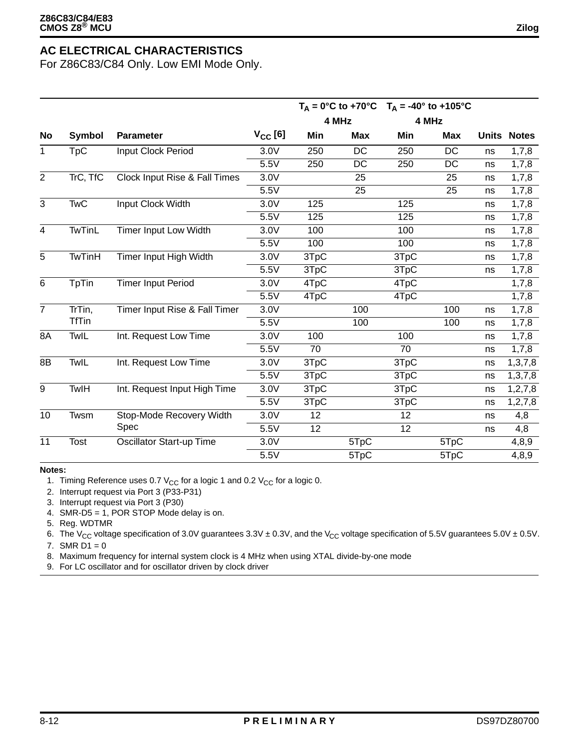For Z86C83/C84 Only. Low EMI Mode Only.

|                |               |                                 |              |      |            | $T_A = 0$ °C to +70°C $T_A = -40$ ° to +105°C |            |    |                    |
|----------------|---------------|---------------------------------|--------------|------|------------|-----------------------------------------------|------------|----|--------------------|
|                |               |                                 |              |      | 4 MHz      | 4 MHz                                         |            |    |                    |
| No             | Symbol        | Parameter                       | $V_{CC}$ [6] | Min  | <b>Max</b> | Min                                           | <b>Max</b> |    | <b>Units Notes</b> |
| 1              | TpC           | Input Clock Period              | 3.0V         | 250  | <b>DC</b>  | 250                                           | <b>DC</b>  | ns | 1,7,8              |
|                |               |                                 | 5.5V         | 250  | DC         | 250                                           | DC         | ns | 1,7,8              |
| $\overline{2}$ | TrC, TfC      | Clock Input Rise & Fall Times   | 3.0V         |      | 25         |                                               | 25         | ns | 1,7,8              |
|                |               |                                 | 5.5V         |      | 25         |                                               | 25         | ns | 1,7,8              |
| $\overline{3}$ | <b>TwC</b>    | Input Clock Width               | 3.0V         | 125  |            | 125                                           |            | ns | 1,7,8              |
|                |               |                                 | 5.5V         | 125  |            | 125                                           |            | ns | 1,7,8              |
| $\overline{4}$ | <b>TwTinL</b> | Timer Input Low Width           | 3.0V         | 100  |            | 100                                           |            | ns | 1,7,8              |
|                |               |                                 | 5.5V         | 100  |            | 100                                           |            | ns | 1,7,8              |
| $\overline{5}$ | <b>TwTinH</b> | Timer Input High Width          | 3.0V         | 3TpC |            | 3TpC                                          |            | ns | 1,7,8              |
|                |               |                                 | 5.5V         | 3TpC |            | 3TpC                                          |            | ns | 1,7,8              |
| $\,6$          | TpTin         | <b>Timer Input Period</b>       | 3.0V         | 4TpC |            | 4TpC                                          |            |    | 1,7,8              |
|                |               |                                 | 5.5V         | 4TpC |            | 4TpC                                          |            |    | 1,7,8              |
| $\overline{7}$ | TrTin,        | Timer Input Rise & Fall Timer   | 3.0V         |      | 100        |                                               | 100        | ns | 1,7,8              |
|                | <b>TfTin</b>  |                                 | 5.5V         |      | 100        |                                               | 100        | ns | 1,7,8              |
| 8A             | TwIL          | Int. Request Low Time           | 3.0V         | 100  |            | 100                                           |            | ns | 1,7,8              |
|                |               |                                 | 5.5V         | 70   |            | 70                                            |            | ns | 1,7,8              |
| 8B             | TwIL          | Int. Request Low Time           | 3.0V         | 3TpC |            | 3TpC                                          |            | ns | 1, 3, 7, 8         |
|                |               |                                 | 5.5V         | 3TpC |            | 3TpC                                          |            | ns | 1, 3, 7, 8         |
| 9              | TwlH          | Int. Request Input High Time    | 3.0V         | 3TpC |            | 3TpC                                          |            | ns | 1, 2, 7, 8         |
|                |               |                                 | 5.5V         | 3TpC |            | 3TpC                                          |            | ns | 1, 2, 7, 8         |
| 10             | Twsm          | Stop-Mode Recovery Width        | 3.0V         | 12   |            | 12                                            |            | ns | 4,8                |
|                |               | Spec                            | 5.5V         | 12   |            | 12                                            |            | ns | 4,8                |
| 11             | Tost          | <b>Oscillator Start-up Time</b> | 3.0V         |      | 5TpC       |                                               | 5TpC       |    | 4,8,9              |
|                |               |                                 | 5.5V         |      | 5TpC       |                                               | 5TpC       |    | 4,8,9              |

#### **Notes:**

1. Timing Reference uses 0.7  $V_{CC}$  for a logic 1 and 0.2  $V_{CC}$  for a logic 0.

2. Interrupt request via Port 3 (P33-P31)

3. Interrupt request via Port 3 (P30)

4. SMR-D5 = 1, POR STOP Mode delay is on.

5. Reg. WDTMR

6. The V<sub>CC</sub> voltage specification of 3.0V guarantees  $3.3V \pm 0.3V$ , and the V<sub>CC</sub> voltage specification of 5.5V guarantees 5.0V  $\pm$  0.5V.

7. SMR  $D1 = 0$ 

8. Maximum frequency for internal system clock is 4 MHz when using XTAL divide-by-one mode

9. For LC oscillator and for oscillator driven by clock driver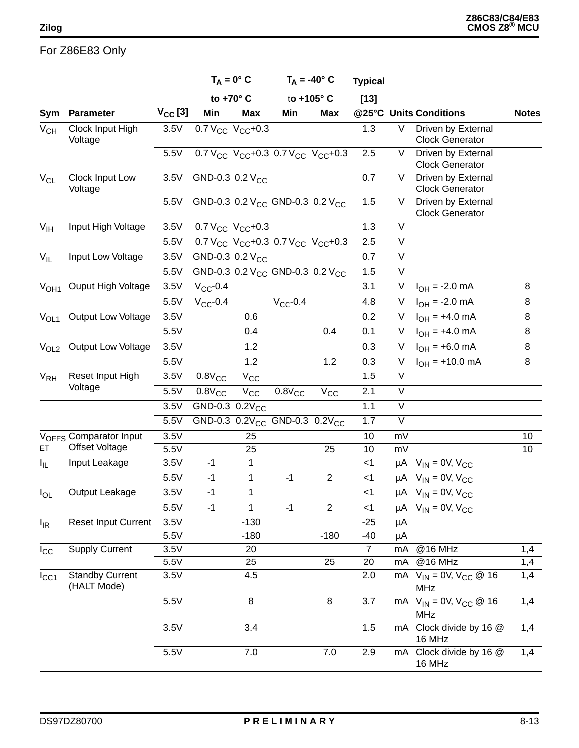### For Z86E83 Only

|                  |                                       |                  | $T_A = 0^\circ C$           |              | $T_A = -40^\circ$ C                                     |                | <b>Typical</b> |                         |                                                           |                 |
|------------------|---------------------------------------|------------------|-----------------------------|--------------|---------------------------------------------------------|----------------|----------------|-------------------------|-----------------------------------------------------------|-----------------|
|                  |                                       |                  | to +70° C                   |              |                                                         | to +105° C     | $[13]$         |                         |                                                           |                 |
| Sym              | Parameter                             | $V_{\rm CC}$ [3] | Min                         | <b>Max</b>   | Min                                                     | <b>Max</b>     |                |                         | @25°C Units Conditions                                    | <b>Notes</b>    |
| $V_{CH}$         | Clock Input High<br>Voltage           | 3.5V             | 0.7 $V_{CC}$ $V_{CC}$ +0.3  |              |                                                         |                | 1.3            | V                       | Driven by External<br><b>Clock Generator</b>              |                 |
|                  |                                       | 5.5V             |                             |              | 0.7 $V_{CC}$ $V_{CC}$ +0.3 0.7 $V_{CC}$ $V_{CC}$ +0.3   |                | 2.5            | V                       | Driven by External<br><b>Clock Generator</b>              |                 |
| $V_{CL}$         | Clock Input Low<br>Voltage            | 3.5V             | GND-0.3 0.2 V <sub>CC</sub> |              |                                                         |                | 0.7            | V                       | Driven by External<br><b>Clock Generator</b>              |                 |
|                  |                                       | 5.5V             |                             |              | GND-0.3 0.2 V <sub>CC</sub> GND-0.3 0.2 V <sub>CC</sub> |                | 1.5            | V                       | Driven by External<br><b>Clock Generator</b>              |                 |
| $V_{\text{IH}}$  | Input High Voltage                    | 3.5V             | 0.7 $V_{CC}$ $V_{CC}$ +0.3  |              |                                                         |                | 1.3            | V                       |                                                           |                 |
|                  |                                       | 5.5V             |                             |              | 0.7 $V_{CC}$ $V_{CC}$ +0.3 0.7 $V_{CC}$ $V_{CC}$ +0.3   |                | 2.5            | $\overline{\vee}$       |                                                           |                 |
| $V_{IL}$         | Input Low Voltage                     | 3.5V             | GND-0.3 0.2 V <sub>CC</sub> |              |                                                         |                | 0.7            | V                       |                                                           |                 |
|                  |                                       | 5.5V             |                             |              | GND-0.3 0.2 V <sub>CC</sub> GND-0.3 0.2 V <sub>CC</sub> |                | 1.5            | V                       |                                                           |                 |
| V <sub>OH1</sub> | <b>Ouput High Voltage</b>             | 3.5V             | $V_{CC}$ -0.4               |              |                                                         |                | 3.1            | V                       | $I_{OH} = -2.0 \text{ mA}$                                | 8               |
|                  |                                       | 5.5V             | $V_{CC}$ -0.4               |              | $V_{CC}$ -0.4                                           |                | 4.8            | V                       | $I_{OH} = -2.0$ mA                                        | 8               |
| V <sub>OL1</sub> | Output Low Voltage                    | 3.5V             |                             | 0.6          |                                                         |                | 0.2            | V                       | $I_{OH} = +4.0 \text{ mA}$                                | 8               |
|                  |                                       | 5.5V             |                             | 0.4          |                                                         | 0.4            | 0.1            | V                       | $I_{OH} = +4.0 \text{ mA}$                                | 8               |
| $V_{OL2}$        | Output Low Voltage                    | 3.5V             |                             | 1.2          |                                                         |                | 0.3            | $\mathsf{V}$            | $I_{OH}$ = +6.0 mA                                        | 8               |
|                  |                                       | 5.5V             |                             | 1.2          |                                                         | 1.2            | 0.3            | $\overline{\mathsf{V}}$ | $I_{OH}$ = +10.0 mA                                       | 8               |
| V <sub>RH</sub>  | Reset Input High                      | 3.5V             | $0.8V_{CC}$                 | $V_{CC}$     |                                                         |                | 1.5            | V                       |                                                           |                 |
|                  | Voltage                               | 5.5V             | $0.8V_{CC}$                 | $V_{\rm CC}$ | $0.8V_{CC}$                                             | $\rm V_{CC}$   | 2.1            | V                       |                                                           |                 |
|                  |                                       | 3.5V             | GND-0.3 $0.2V_{CC}$         |              |                                                         |                | 1.1            | $\vee$                  |                                                           |                 |
|                  |                                       | 5.5V             |                             |              | GND-0.3 0.2V <sub>CC</sub> GND-0.3 0.2V <sub>CC</sub>   |                | 1.7            | V                       |                                                           |                 |
|                  | V <sub>OFFS</sub> Comparator Input    | 3.5V             |                             | 25           |                                                         |                | 10             | mV                      |                                                           | 10              |
| ET.              | <b>Offset Voltage</b>                 | 5.5V             |                             | 25           |                                                         | 25             | 10             | mV                      |                                                           | 10 <sup>°</sup> |
| I <sub>IL</sub>  | Input Leakage                         | 3.5V             | $-1$                        | $\mathbf{1}$ |                                                         |                | $<$ 1          |                         | $\mu$ A V <sub>IN</sub> = 0V, V <sub>CC</sub>             |                 |
|                  |                                       | 5.5V             | $-1$                        | 1            | $-1$                                                    | $\overline{2}$ | $<$ 1          |                         | $\mu$ A V <sub>IN</sub> = 0V, V <sub>CC</sub>             |                 |
| $I_{OL}$         | Output Leakage                        | 3.5V             | $-1$                        | 1            |                                                         |                | $<$ 1          |                         | $\mu$ A V <sub>IN</sub> = 0V, V <sub>CC</sub>             |                 |
|                  |                                       | 5.5V             | $-1$                        | 1            | $-1$                                                    | $\overline{2}$ | $<$ 1          |                         | $\mu A$ V <sub>IN</sub> = 0V, V <sub>CC</sub>             |                 |
| $I_{IR}$         | <b>Reset Input Current</b>            | 3.5V             |                             | $-130$       |                                                         |                | $-25$          | μA                      |                                                           |                 |
|                  |                                       | 5.5V             |                             | $-180$       |                                                         | $-180$         | $-40$          | μA                      |                                                           |                 |
| $I_{\rm CC}$     | <b>Supply Current</b>                 | 3.5V             |                             | 20           |                                                         |                | $\overline{7}$ | mA                      | @16 MHz                                                   | 1,4             |
|                  |                                       | 5.5V             |                             | 25           |                                                         | 25             | 20             | mA                      | @16 MHz                                                   | 1,4             |
| $I_{\rm CC1}$    | <b>Standby Current</b><br>(HALT Mode) | 3.5V             |                             | 4.5          |                                                         |                | 2.0            |                         | mA $V_{IN} = 0V$ , $V_{CC} @ 16$<br><b>MHz</b>            | 1,4             |
|                  |                                       | 5.5V             |                             | $\bf 8$      |                                                         | 8              | 3.7            |                         | mA $V_{IN} = 0\overline{V}$ , $V_{CC} @ 16$<br><b>MHz</b> | 1,4             |
|                  |                                       | 3.5V             |                             | 3.4          |                                                         |                | 1.5            |                         | mA Clock divide by 16 @<br>16 MHz                         | 1,4             |
|                  |                                       | 5.5V             |                             | 7.0          |                                                         | 7.0            | 2.9            | mA                      | Clock divide by 16 @<br>16 MHz                            | 1,4             |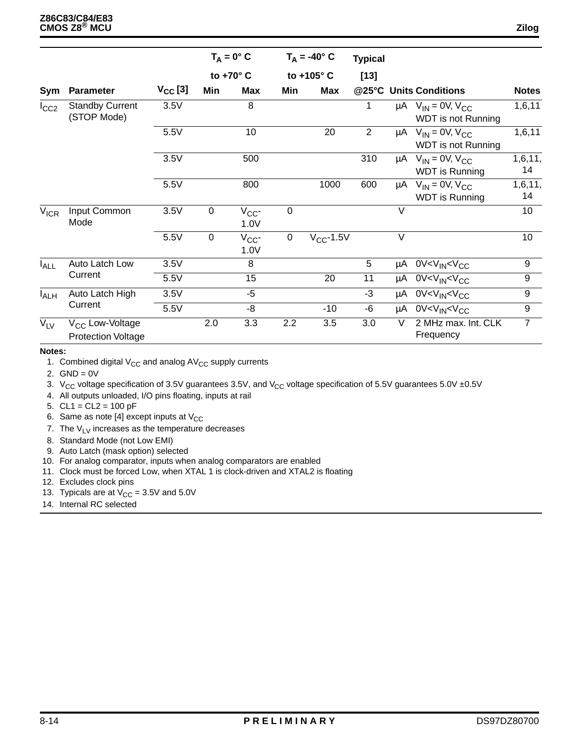|                  |                                                          |      |                | $T_A = 0^\circ C$  |             | $T_A = -40^\circ$ C | <b>Typical</b> |            |                                                                        |               |                        |
|------------------|----------------------------------------------------------|------|----------------|--------------------|-------------|---------------------|----------------|------------|------------------------------------------------------------------------|---------------|------------------------|
|                  | <b>Parameter</b>                                         |      |                | to +70° C          | to +105° C  |                     | $[13]$         |            |                                                                        |               |                        |
| Sym              |                                                          |      |                | $V_{\rm CC}$ [3]   | Min         | <b>Max</b>          | Min            | <b>Max</b> |                                                                        |               | @25°C Units Conditions |
| $I_{CC2}$        | <b>Standby Current</b><br>(STOP Mode)                    | 3.5V |                | 8                  |             |                     | 1              |            | $\mu$ A V <sub>IN</sub> = 0V, V <sub>CC</sub><br>WDT is not Running    | 1,6,11        |                        |
|                  |                                                          | 5.5V |                | 10                 |             | 20                  | $\overline{2}$ |            | $\mu$ A V <sub>IN</sub> = 0V, V <sub>CC</sub><br>WDT is not Running    | 1,6,11        |                        |
|                  |                                                          | 3.5V |                | 500                |             |                     | 310            |            | $\mu$ A V <sub>IN</sub> = 0V, V <sub>CC</sub><br><b>WDT</b> is Running | 1,6,11,<br>14 |                        |
|                  |                                                          | 5.5V |                | 800                |             | 1000                | 600            |            | $\mu$ A V <sub>IN</sub> = 0V, V <sub>CC</sub><br><b>WDT</b> is Running | 1,6,11,<br>14 |                        |
| $V_{ICR}$        | Input Common<br>Mode                                     | 3.5V | $\overline{0}$ | $V_{CC}$ -<br>1.0V | $\mathbf 0$ |                     |                | $\vee$     |                                                                        | 10            |                        |
|                  |                                                          | 5.5V | $\mathbf 0$    | $V_{CC}$ -<br>1.0V | $\mathsf 0$ | $V_{CC}$ -1.5V      |                | $\vee$     |                                                                        | 10            |                        |
| I <sub>ALL</sub> | Auto Latch Low                                           | 3.5V |                | 8                  |             |                     | 5              |            | µA 0V <v<sub>IN<v<sub>CC</v<sub></v<sub>                               | 9             |                        |
|                  | Current                                                  | 5.5V |                | 15                 |             | 20                  | 11             |            | µA 0V <v<sub>IN<v<sub>CC</v<sub></v<sub>                               | 9             |                        |
| I <sub>ALH</sub> | Auto Latch High                                          | 3.5V |                | $-5$               |             |                     | $-3$           |            | $\mu$ A 0V <v<math>_{IN}<v<sub>CC</v<sub></v<math>                     | 9             |                        |
|                  | Current                                                  | 5.5V |                | -8                 |             | $-10$               | -6             |            | µA 0V <v<sub>IN<v<sub>CC</v<sub></v<sub>                               | 9             |                        |
| $V_{LV}$         | V <sub>CC</sub> Low-Voltage<br><b>Protection Voltage</b> |      | 2.0            | 3.3                | 2.2         | 3.5                 | 3.0            | $\vee$     | 2 MHz max. Int. CLK<br>Frequency                                       | 7             |                        |

#### **Notes:**

1. Combined digital  $V_{CC}$  and analog  $AV_{CC}$  supply currents

- 2.  $GND = 0V$
- 3. V<sub>CC</sub> voltage specification of 3.5V guarantees 3.5V, and V<sub>CC</sub> voltage specification of 5.5V guarantees 5.0V ±0.5V
- 4. All outputs unloaded, I/O pins floating, inputs at rail
- 5. CL1 = CL2 = 100 pF
- 6. Same as note [4] except inputs at  $V_{CC}$
- 7. The  $V_{LV}$  increases as the temperature decreases
- 8. Standard Mode (not Low EMI)
- 9. Auto Latch (mask option) selected
- 10. For analog comparator, inputs when analog comparators are enabled
- 11. Clock must be forced Low, when XTAL 1 is clock-driven and XTAL2 is floating
- 12. Excludes clock pins
- 13. Typicals are at  $V_{CC} = 3.5V$  and  $5.0V$
- 14. Internal RC selected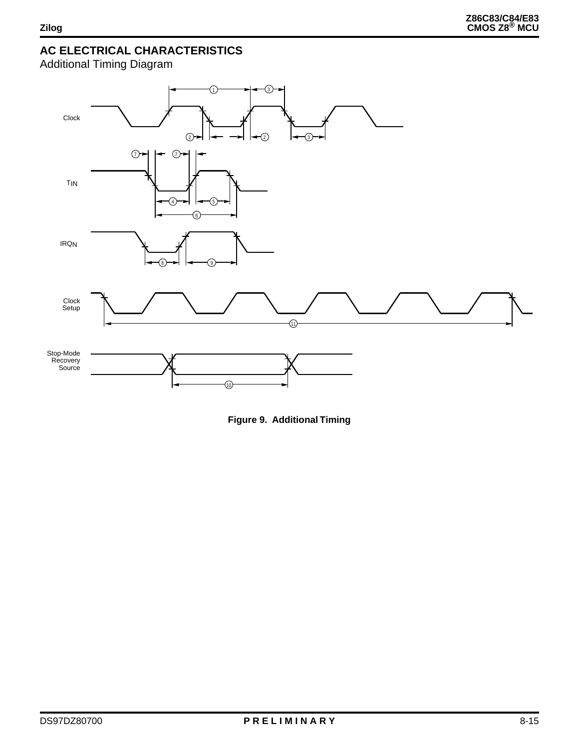Additional Timing Diagram



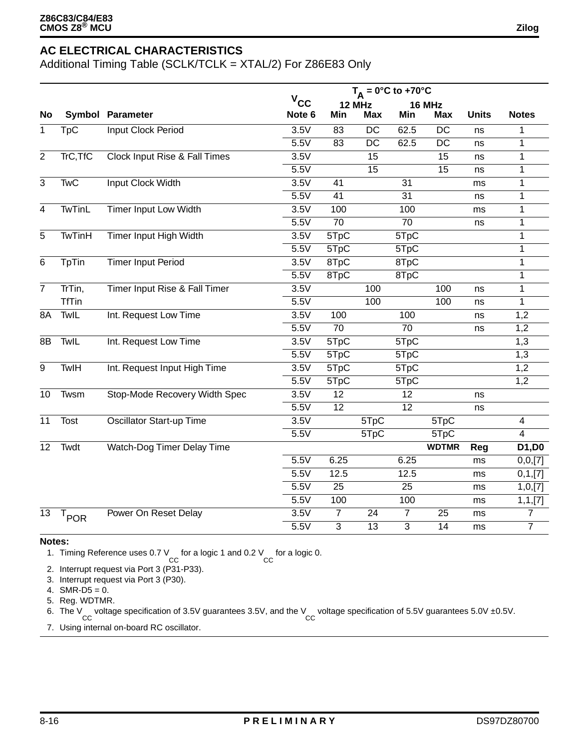Additional Timing Table (SCLK/TCLK = XTAL/2) For Z86E83 Only

|                |                  |                                          |                   | $T_A = 0^\circ C$ to +70°C |                 |                 |                 |              |                |
|----------------|------------------|------------------------------------------|-------------------|----------------------------|-----------------|-----------------|-----------------|--------------|----------------|
|                |                  |                                          | $V_{CC}$          |                            | 12 MHz          |                 | 16 MHz          |              |                |
| <b>No</b>      |                  | <b>Symbol Parameter</b>                  | Note 6            | Min                        | <b>Max</b>      | Min             | <b>Max</b>      | <b>Units</b> | <b>Notes</b>   |
| 1              | TpC              | <b>Input Clock Period</b>                | 3.5V              | 83                         | $\overline{DC}$ | 62.5            | $\overline{DC}$ | ns           | 1              |
|                |                  |                                          | 5.5V              | 83                         | $\overline{DC}$ | 62.5            | $\overline{DC}$ | ns           | 1              |
| $\overline{2}$ | TrC, TfC         | <b>Clock Input Rise &amp; Fall Times</b> | 3.5V              |                            | 15              |                 | 15              | ns           | 1              |
|                |                  |                                          | 5.5V              |                            | 15              |                 | 15              | ns           | 1              |
| $\overline{3}$ | <b>TwC</b>       | <b>Input Clock Width</b>                 | 3.5V              | 41                         |                 | 31              |                 | ms           | $\mathbf{1}$   |
|                |                  |                                          | 5.5V              | 41                         |                 | 31              |                 | ns           | $\mathbf{1}$   |
| $\overline{4}$ | <b>TwTinL</b>    | <b>Timer Input Low Width</b>             | 3.5V              | 100                        |                 | 100             |                 | ms           | 1              |
|                |                  |                                          | 5.5V              | $\overline{70}$            |                 | $\overline{70}$ |                 | ns           | 1              |
| 5              | TwTinH           | Timer Input High Width                   | 3.5V              | 5TpC                       |                 | 5TpC            |                 |              | 1              |
|                |                  |                                          | 5.5V              | 5TpC                       |                 | 5TpC            |                 |              | $\mathbf{1}$   |
| 6              | <b>TpTin</b>     | <b>Timer Input Period</b>                | 3.5V              | 8TpC                       |                 | 8TpC            |                 |              | $\mathbf{1}$   |
|                |                  |                                          | 5.5V              | 8TpC                       |                 | 8TpC            |                 |              | 1              |
| $\overline{7}$ | TrTin,           | Timer Input Rise & Fall Timer            | 3.5V              |                            | 100             |                 | 100             | ns           | 1              |
|                | <b>TfTin</b>     |                                          | $\overline{5.5}V$ |                            | 100             |                 | 100             | ns           | $\mathbf{1}$   |
| 8A             | TwlL             | Int. Request Low Time                    | 3.5V              | 100                        |                 | 100             |                 | ns           | 1,2            |
|                |                  |                                          | 5.5V              | $\overline{70}$            |                 | $\overline{70}$ |                 | ns           | 1,2            |
| 8B             | TwlL             | Int. Request Low Time                    | 3.5V              | 5TpC                       |                 | 5TpC            |                 |              | 1,3            |
|                |                  |                                          | 5.5V              | 5TpC                       |                 | 5TpC            |                 |              | 1,3            |
| 9              | TwlH             | Int. Request Input High Time             | 3.5V              | $5\overline{TPC}$          |                 | 5TpC            |                 |              | 1,2            |
|                |                  |                                          | 5.5V              | 5TpC                       |                 | 5TpC            |                 |              | 1,2            |
| 10             | Twsm             | Stop-Mode Recovery Width Spec            | 3.5V              | 12                         |                 | 12              |                 | ns           |                |
|                |                  |                                          | 5.5V              | $\overline{12}$            |                 | $\overline{12}$ |                 | ns           |                |
| 11             | Tost             | <b>Oscillator Start-up Time</b>          | 3.5V              |                            | 5TpC            |                 | 5TpC            |              | $\overline{4}$ |
|                |                  |                                          | 5.5V              |                            | 5TpC            |                 | 5TpC            |              | $\overline{4}$ |
| 12             | Twdt             | Watch-Dog Timer Delay Time               |                   |                            |                 |                 | <b>WDTMR</b>    | Reg          | D1,D0          |
|                |                  |                                          | 5.5V              | 6.25                       |                 | 6.25            |                 | ms           | 0, 0, [7]      |
|                |                  |                                          | 5.5V              | 12.5                       |                 | 12.5            |                 | ms           | 0,1,[7]        |
|                |                  |                                          | 5.5V              | $\overline{25}$            |                 | $\overline{25}$ |                 | ms           | 1, 0, [7]      |
|                |                  |                                          | 5.5V              | 100                        |                 | 100             |                 | ms           | 1, 1, [7]      |
| 13             | $T_{\text{POR}}$ | Power On Reset Delay                     | 3.5V              | $\overline{7}$             | 24              | $\overline{7}$  | 25              | ms           | $\overline{7}$ |
|                |                  |                                          | 5.5V              | $\overline{3}$             | $\overline{13}$ | $\overline{3}$  | 14              | ms           | $\overline{7}$ |

#### **Notes:**

1. Timing Reference uses 0.7 V for a logic 1 and 0.2 V for a logic 0.<br>CC

2. Interrupt request via Port 3 (P31-P33).

3. Interrupt request via Port 3 (P30).

4.  $SMR-D5 = 0$ .

5. Reg. WDTMR.

6. The V voltage specification of 3.5V guarantees 3.5V, and the V voltage specification of 5.5V guarantees 5.0V ±0.5V.<br>CC

7. Using internal on-board RC oscillator.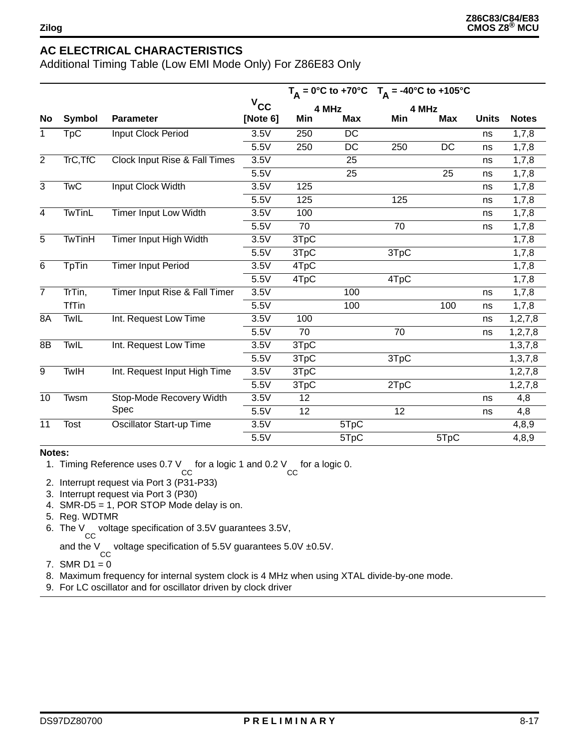Additional Timing Table (Low EMI Mode Only) For Z86E83 Only

|                |               |                                 |              |      | $T_A = 0^\circ C$ to +70°C | $T_A = -40^{\circ}C$ to $+105^{\circ}C$ |            |              |              |
|----------------|---------------|---------------------------------|--------------|------|----------------------------|-----------------------------------------|------------|--------------|--------------|
|                |               |                                 | $v_{\rm cc}$ |      | 4 MHz                      |                                         | 4 MHz      |              |              |
| <b>No</b>      | Symbol        | <b>Parameter</b>                | [Note 6]     | Min  | <b>Max</b>                 | Min                                     | <b>Max</b> | <b>Units</b> | <b>Notes</b> |
| 1              | <b>TpC</b>    | Input Clock Period              | 3.5V         | 250  | <b>DC</b>                  |                                         |            | ns           | 1,7,8        |
|                |               |                                 | 5.5V         | 250  | DC                         | 250                                     | DC         | ns           | 1,7,8        |
| $\overline{2}$ | TrC, TfC      | Clock Input Rise & Fall Times   | 3.5V         |      | 25                         |                                         |            | ns           | 1,7,8        |
|                |               |                                 | 5.5V         |      | 25                         |                                         | 25         | ns           | 1,7,8        |
| 3              | <b>TwC</b>    | Input Clock Width               | 3.5V         | 125  |                            |                                         |            | ns           | 1,7,8        |
|                |               |                                 | 5.5V         | 125  |                            | 125                                     |            | ns           | 1,7,8        |
| $\overline{4}$ | <b>TwTinL</b> | <b>Timer Input Low Width</b>    | 3.5V         | 100  |                            |                                         |            | ns           | 1,7,8        |
|                |               |                                 | 5.5V         | 70   |                            | 70                                      |            | ns           | 1,7,8        |
| 5              | <b>TwTinH</b> | Timer Input High Width          | 3.5V         | 3TpC |                            |                                         |            |              | 1,7,8        |
|                |               |                                 | 5.5V         | 3TpC |                            | 3TpC                                    |            |              | 1,7,8        |
| 6              | <b>TpTin</b>  | <b>Timer Input Period</b>       | 3.5V         | 4TpC |                            |                                         |            |              | 1,7,8        |
|                |               |                                 | 5.5V         | 4TpC |                            | 4TpC                                    |            |              | 1,7,8        |
| $\overline{7}$ | TrTin,        | Timer Input Rise & Fall Timer   | 3.5V         |      | 100                        |                                         |            | ns           | 1,7,8        |
|                | <b>TfTin</b>  |                                 | 5.5V         |      | 100                        |                                         | 100        | ns           | 1,7,8        |
| 8A             | TwIL          | Int. Request Low Time           | 3.5V         | 100  |                            |                                         |            | ns           | 1, 2, 7, 8   |
|                |               |                                 | 5.5V         | 70   |                            | 70                                      |            | ns           | 1, 2, 7, 8   |
| 8B             | TwIL          | Int. Request Low Time           | 3.5V         | 3TpC |                            |                                         |            |              | 1, 3, 7, 8   |
|                |               |                                 | 5.5V         | 3TpC |                            | 3TpC                                    |            |              | 1, 3, 7, 8   |
| 9              | TwlH          | Int. Request Input High Time    | 3.5V         | 3TpC |                            |                                         |            |              | 1,2,7,8      |
|                |               |                                 | 5.5V         | 3TpC |                            | 2TpC                                    |            |              | 1, 2, 7, 8   |
| 10             | Twsm          | Stop-Mode Recovery Width        | 3.5V         | 12   |                            |                                         |            | ns           | 4,8          |
|                |               | Spec                            | 5.5V         | 12   |                            | 12                                      |            | ns           | 4,8          |
| 11             | Tost          | <b>Oscillator Start-up Time</b> | 3.5V         |      | 5TpC                       |                                         |            |              | 4,8,9        |
|                |               |                                 | 5.5V         |      | 5TpC                       |                                         | 5TpC       |              | 4,8,9        |

#### **Notes:**

1. Timing Reference uses 0.7 V for a logic 1 and 0.2 V for a logic 0.<br>CC

- 2. Interrupt request via Port 3 (P31-P33)
- 3. Interrupt request via Port 3 (P30)
- 4. SMR-D5 = 1, POR STOP Mode delay is on.
- 5. Reg. WDTMR
- 6. The V CC voltage specification of 3.5V guarantees 3.5V,

and the V voltage specification of 5.5V guarantees  $5.0V \pm 0.5V$ .

- 7. SMR  $D1 = 0$
- 8. Maximum frequency for internal system clock is 4 MHz when using XTAL divide-by-one mode.
- 9. For LC oscillator and for oscillator driven by clock driver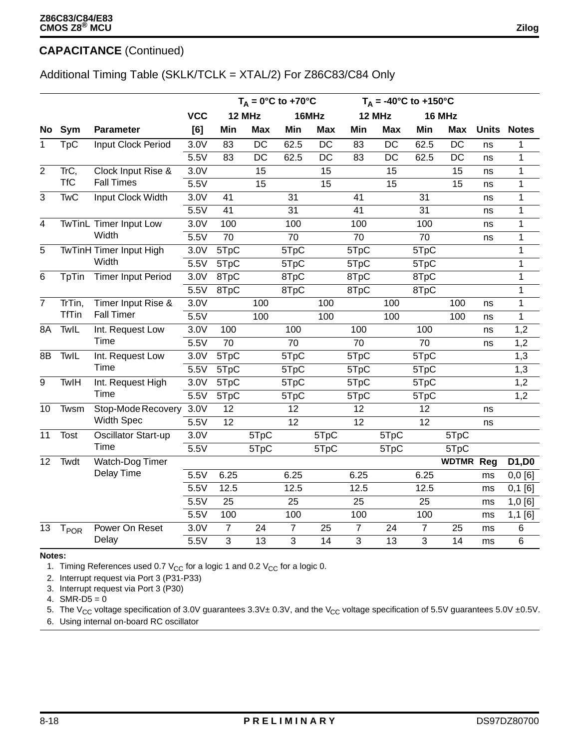### **CAPACITANCE** (Continued)

### Additional Timing Table (SKLK/TCLK = XTAL/2) For Z86C83/C84 Only

|                |                  |                                |            |                | $T_A = 0^\circ \text{C}$ to +70 $^\circ \text{C}$ |      |                 |                 | $T_A = -40^{\circ}C$ to $+150^{\circ}C$ |                |                  |    |                    |
|----------------|------------------|--------------------------------|------------|----------------|---------------------------------------------------|------|-----------------|-----------------|-----------------------------------------|----------------|------------------|----|--------------------|
|                |                  |                                | <b>VCC</b> |                | 12 MHz                                            |      | 16MHz           |                 | 12 MHz                                  |                | 16 MHz           |    |                    |
| No.            | Sym              | <b>Parameter</b>               | [6]        | Min            | <b>Max</b>                                        | Min  | <b>Max</b>      | Min             | <b>Max</b>                              | Min            | <b>Max</b>       |    | <b>Units Notes</b> |
| $\mathbf{1}$   | $Tp\overline{C}$ | <b>Input Clock Period</b>      | 3.0V       | 83             | $\overline{DC}$                                   | 62.5 | $\overline{DC}$ | $\overline{83}$ | $\overline{DC}$                         | 62.5           | $\overline{DC}$  | ns | 1                  |
|                |                  |                                | 5.5V       | 83             | <b>DC</b>                                         | 62.5 | DC              | 83              | DC                                      | 62.5           | DC               | ns | 1                  |
| $\overline{2}$ | TrC,             | Clock Input Rise &             | 3.0V       |                | 15                                                |      | 15              |                 | 15                                      |                | 15               | ns | 1                  |
|                | <b>TfC</b>       | <b>Fall Times</b>              | 5.5V       |                | 15                                                |      | 15              |                 | 15                                      |                | 15               | ns | $\mathbf{1}$       |
| 3              | <b>TwC</b>       | Input Clock Width              | 3.0V       | 41             |                                                   | 31   |                 | 41              |                                         | 31             |                  | ns | 1                  |
|                |                  |                                | 5.5V       | 41             |                                                   | 31   |                 | 41              |                                         | 31             |                  | ns | 1                  |
| 4              |                  | <b>TwTinL Timer Input Low</b>  | 3.0V       | 100            |                                                   | 100  |                 | 100             |                                         | 100            |                  | ns | 1                  |
|                |                  | Width                          | 5.5V       | 70             |                                                   | 70   |                 | 70              |                                         | 70             |                  | ns | 1                  |
| 5              |                  | <b>TwTinH Timer Input High</b> | 3.0V       | 5TpC           |                                                   | 5TpC |                 | 5TpC            |                                         | 5TpC           |                  |    | $\mathbf{1}$       |
|                |                  | Width                          | 5.5V       | 5TpC           |                                                   | 5TpC |                 | 5TpC            |                                         | 5TpC           |                  |    | $\mathbf{1}$       |
| $6\phantom{1}$ | TpTin            | <b>Timer Input Period</b>      | 3.0V       | 8TpC           |                                                   | 8TpC |                 | 8TpC            |                                         | 8TpC           |                  |    | 1                  |
|                |                  |                                | 5.5V       | 8TpC           |                                                   | 8TpC |                 | 8TpC            |                                         | 8TpC           |                  |    | 1                  |
| $\overline{7}$ | TrTin,           | Timer Input Rise &             | 3.0V       |                | 100                                               |      | 100             |                 | 100                                     |                | 100              | ns | $\mathbf{1}$       |
|                | <b>TfTin</b>     | <b>Fall Timer</b>              | 5.5V       |                | 100                                               |      | 100             |                 | 100                                     |                | 100              | ns | $\mathbf{1}$       |
| 8A             | TwIL             | Int. Request Low               | 3.0V       | 100            |                                                   | 100  |                 | 100             |                                         | 100            |                  | ns | 1,2                |
|                |                  | Time                           | 5.5V       | 70             |                                                   | 70   |                 | 70              |                                         | 70             |                  | ns | 1,2                |
| 8B             | TwIL             | Int. Request Low               | 3.0V       | 5TpC           |                                                   | 5TpC |                 | 5TpC            |                                         | 5TpC           |                  |    | 1,3                |
|                |                  | Time                           | 5.5V       | 5TpC           |                                                   | 5TpC |                 | 5TpC            |                                         | 5TpC           |                  |    | 1,3                |
| $\overline{9}$ | <b>TwlH</b>      | Int. Request High              | 3.0V       | 5TpC           |                                                   | 5TpC |                 | 5TpC            |                                         | 5TpC           |                  |    | 1,2                |
|                |                  | Time                           | 5.5V       | 5TpC           |                                                   | 5TpC |                 | 5TpC            |                                         | 5TpC           |                  |    | 1,2                |
| 10             | Twsm             | Stop-Mode Recovery             | 3.0V       | 12             |                                                   | 12   |                 | 12              |                                         | 12             |                  | ns |                    |
|                |                  | Width Spec                     | 5.5V       | 12             |                                                   | 12   |                 | 12              |                                         | 12             |                  | ns |                    |
| 11             | Tost             | Oscillator Start-up            | 3.0V       |                | 5TpC                                              |      | 5TpC            |                 | 5TpC                                    |                | 5TpC             |    |                    |
|                |                  | Time                           | 5.5V       |                | 5TpC                                              |      | 5TpC            |                 | 5TpC                                    |                | 5TpC             |    |                    |
| 12             | Twdt             | Watch-Dog Timer                |            |                |                                                   |      |                 |                 |                                         |                | <b>WDTMR Reg</b> |    | D1,D0              |
|                |                  | Delay Time                     | 5.5V       | 6.25           |                                                   | 6.25 |                 | 6.25            |                                         | 6.25           |                  | ms | 0,0[6]             |
|                |                  |                                | 5.5V       | 12.5           |                                                   | 12.5 |                 | 12.5            |                                         | 12.5           |                  | ms | $0,1$ [6]          |
|                |                  |                                | 5.5V       | 25             |                                                   | 25   |                 | 25              |                                         | 25             |                  | ms | 1,0[6]             |
|                |                  |                                | 5.5V       | 100            |                                                   | 100  |                 | 100             |                                         | 100            |                  | ms | $1,1$ [6]          |
| 13             | T <sub>POR</sub> | Power On Reset                 | 3.0V       | $\overline{7}$ | 24                                                | 7    | 25              | $\overline{7}$  | 24                                      | $\overline{7}$ | 25               | ms | 6                  |
|                |                  | Delay                          | 5.5V       | 3              | 13                                                | 3    | 14              | $\overline{3}$  | 13                                      | 3              | 14               | ms | 6                  |

#### **Notes:**

1. Timing References used 0.7  $V_{CC}$  for a logic 1 and 0.2  $V_{CC}$  for a logic 0.

2. Interrupt request via Port 3 (P31-P33)

3. Interrupt request via Port 3 (P30)

4.  $SMR-D5 = 0$ 

5. The V<sub>CC</sub> voltage specification of 3.0V guarantees  $3.3V\pm 0.3V$ , and the V<sub>CC</sub> voltage specification of 5.5V guarantees 5.0V ±0.5V.

6. Using internal on-board RC oscillator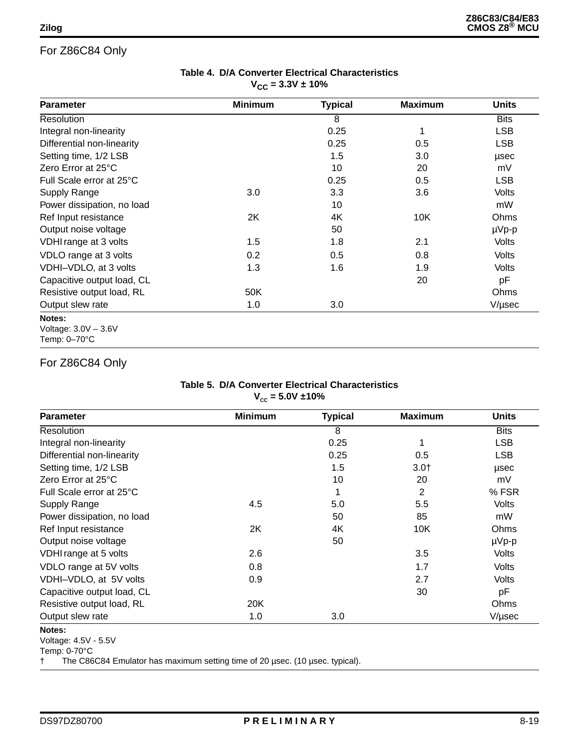| Table 4. D/A Converter Electrical Characteristics |
|---------------------------------------------------|
| $V_{\rm CC}$ = 3.3V ± 10%                         |

| <b>Parameter</b>           | <b>Minimum</b> | <b>Typical</b> | <b>Maximum</b> | Units       |
|----------------------------|----------------|----------------|----------------|-------------|
| Resolution                 |                | 8              |                | <b>Bits</b> |
| Integral non-linearity     |                | 0.25           |                | <b>LSB</b>  |
| Differential non-linearity |                | 0.25           | 0.5            | <b>LSB</b>  |
| Setting time, 1/2 LSB      |                | 1.5            | 3.0            | usec        |
| Zero Error at 25°C         |                | 10             | 20             | mV          |
| Full Scale error at 25°C   |                | 0.25           | 0.5            | <b>LSB</b>  |
| Supply Range               | 3.0            | 3.3            | 3.6            | Volts       |
| Power dissipation, no load |                | 10             |                | mW          |
| Ref Input resistance       | 2K             | 4K             | 10K            | Ohms        |
| Output noise voltage       |                | 50             |                | $\mu Vp-p$  |
| VDHI range at 3 volts      | 1.5            | 1.8            | 2.1            | Volts       |
| VDLO range at 3 volts      | 0.2            | 0.5            | 0.8            | Volts       |
| VDHI-VDLO, at 3 volts      | 1.3            | 1.6            | 1.9            | Volts       |
| Capacitive output load, CL |                |                | 20             | pF          |
| Resistive output load, RL  | 50K            |                |                | Ohms        |
| Output slew rate           | 1.0            | 3.0            |                | V/usec      |

Voltage: 3.0V – 3.6V Temp: 0–70°C

### For Z86C84 Only

#### **Table 5. D/A Converter Electrical Characteristics**   $V_{cc} = 5.0V \pm 10\%$

| <b>Parameter</b>           | <b>Minimum</b> | <b>Typical</b> | <b>Maximum</b> | <b>Units</b> |
|----------------------------|----------------|----------------|----------------|--------------|
| Resolution                 |                | 8              |                | <b>Bits</b>  |
| Integral non-linearity     |                | 0.25           |                | <b>LSB</b>   |
| Differential non-linearity |                | 0.25           | 0.5            | <b>LSB</b>   |
| Setting time, 1/2 LSB      |                | 1.5            | $3.0+$         | usec         |
| Zero Error at 25°C         |                | 10             | 20             | mV           |
| Full Scale error at 25°C   |                | 1              | 2              | % FSR        |
| Supply Range               | 4.5            | 5.0            | 5.5            | Volts        |
| Power dissipation, no load |                | 50             | 85             | mW           |
| Ref Input resistance       | 2K             | 4K             | 10K            | Ohms         |
| Output noise voltage       |                | 50             |                | $\mu Vp-p$   |
| VDHI range at 5 volts      | 2.6            |                | 3.5            | Volts        |
| VDLO range at 5V volts     | 0.8            |                | 1.7            | Volts        |
| VDHI-VDLO, at 5V volts     | 0.9            |                | 2.7            | Volts        |
| Capacitive output load, CL |                |                | 30             | рF           |
| Resistive output load, RL  | 20K            |                |                | Ohms         |
| Output slew rate           | 1.0            | 3.0            |                | V/usec       |

**Notes:** 

† The C86C84 Emulator has maximum setting time of 20 µsec. (10 µsec. typical).

Voltage: 4.5V - 5.5V Temp: 0-70°C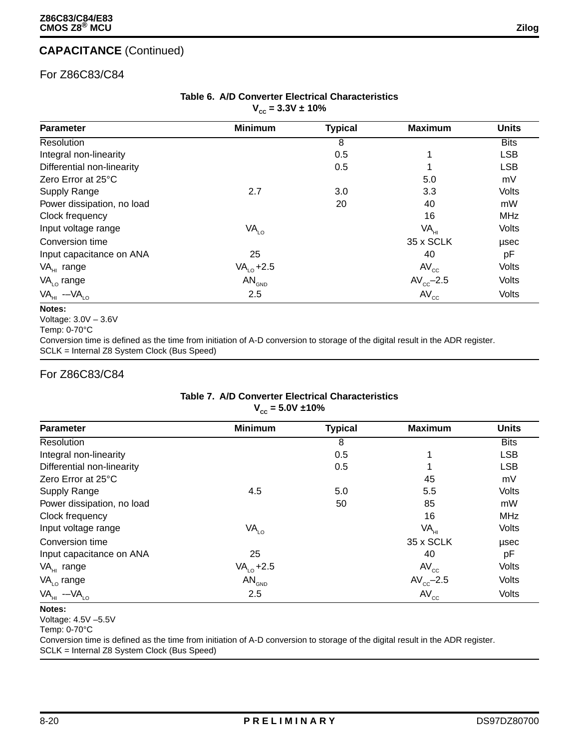### **CAPACITANCE** (Continued)

### For Z86C83/C84

#### **Table 6. A/D Converter Electrical Characteristics**   $V_{cc} = 3.3V \pm 10\%$

| <b>Parameter</b>           | <b>Minimum</b>    | <b>Typical</b> | <b>Maximum</b>   | <b>Units</b> |
|----------------------------|-------------------|----------------|------------------|--------------|
| Resolution                 |                   | 8              |                  | <b>Bits</b>  |
| Integral non-linearity     |                   | 0.5            | 1                | <b>LSB</b>   |
| Differential non-linearity |                   | 0.5            |                  | <b>LSB</b>   |
| Zero Error at 25°C         |                   |                | 5.0              | mV           |
| <b>Supply Range</b>        | 2.7               | 3.0            | 3.3              | <b>Volts</b> |
| Power dissipation, no load |                   | 20             | 40               | mW           |
| Clock frequency            |                   |                | 16               | <b>MHz</b>   |
| Input voltage range        | VA <sub>LO</sub>  |                | VA <sub>HI</sub> | <b>Volts</b> |
| Conversion time            |                   |                | 35 x SCLK        | usec         |
| Input capacitance on ANA   | 25                |                | 40               | pF           |
| VA <sub>HI</sub> range     | $VA10 + 2.5$      |                | $AV_{cc}$        | Volts        |
| $VALO$ range               | AN <sub>GND</sub> |                | $AV_{cc}$ -2.5   | <b>Volts</b> |
| $VA_{HI}$ -- $VA_{LO}$     | 2.5               |                | $AV_{cc}$        | Volts        |

#### **Notes:**

Voltage: 3.0V – 3.6V

Conversion time is defined as the time from initiation of A-D conversion to storage of the digital result in the ADR register. SCLK = Internal Z8 System Clock (Bus Speed)

#### For Z86C83/C84

#### **Table 7. A/D Converter Electrical Characteristics**   $V_{cc} = 5.0V \pm 10\%$

| <b>Parameter</b>           | <b>Minimum</b>    | <b>Typical</b> | <b>Maximum</b>   | <b>Units</b> |
|----------------------------|-------------------|----------------|------------------|--------------|
| <b>Resolution</b>          |                   | 8              |                  | <b>Bits</b>  |
| Integral non-linearity     |                   | 0.5            | 1                | <b>LSB</b>   |
| Differential non-linearity |                   | 0.5            | 1                | <b>LSB</b>   |
| Zero Error at 25°C         |                   |                | 45               | mV           |
| Supply Range               | 4.5               | 5.0            | 5.5              | <b>Volts</b> |
| Power dissipation, no load |                   | 50             | 85               | mW           |
| Clock frequency            |                   |                | 16               | <b>MHz</b>   |
| Input voltage range        | VA <sub>LO</sub>  |                | VA <sub>H1</sub> | Volts        |
| Conversion time            |                   |                | 35 x SCLK        | usec         |
| Input capacitance on ANA   | 25                |                | 40               | рF           |
| $VA_{HI}$ range            | $VA10 + 2.5$      |                | $AV_{cc}$        | Volts        |
| $VALO$ range               | AN <sub>GND</sub> |                | $AV_{cc}$ -2.5   | Volts        |
| $VA_{HI}$ - $VA_{LO}$      | 2.5               |                | $AV_{cc}$        | <b>Volts</b> |

#### **Notes:**

Voltage: 4.5V –5.5V

Temp: 0-70°C

Conversion time is defined as the time from initiation of A-D conversion to storage of the digital result in the ADR register. SCLK = Internal Z8 System Clock (Bus Speed)

Temp: 0-70°C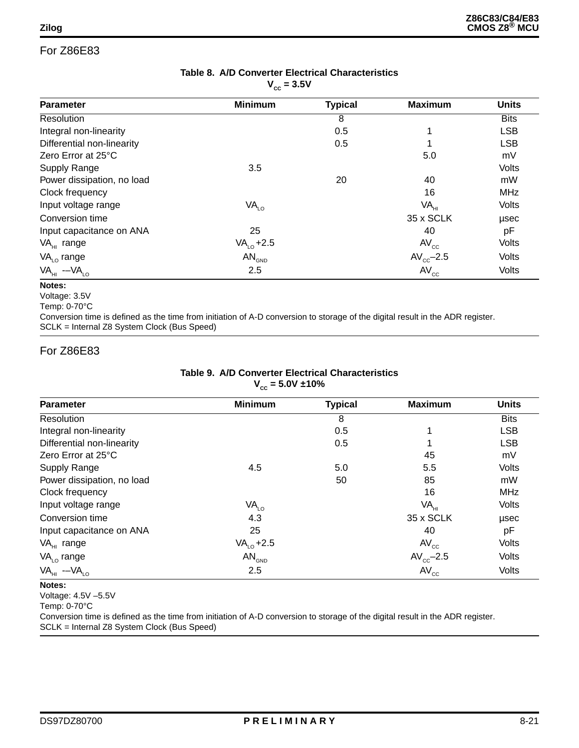| Table 8. A/D Converter Electrical Characteristics |
|---------------------------------------------------|
| $V_{cc}$ = 3.5V                                   |

| <b>Minimum</b>   | <b>Typical</b>                                       | <b>Maximum</b>  | <b>Units</b> |
|------------------|------------------------------------------------------|-----------------|--------------|
|                  | 8                                                    |                 | <b>Bits</b>  |
|                  | 0.5                                                  | 1               | <b>LSB</b>   |
|                  | 0.5                                                  | 1               | <b>LSB</b>   |
|                  |                                                      | 5.0             | mV           |
| 3.5              |                                                      |                 | Volts        |
|                  | 20                                                   | 40              | mW           |
|                  |                                                      | 16              | <b>MHz</b>   |
| VA <sub>LO</sub> |                                                      | VA <sub>H</sub> | Volts        |
|                  |                                                      | 35 x SCLK       | usec         |
| 25               |                                                      | 40              | pF           |
| $VALO + 2.5$     |                                                      | $AV_{cc}$       | Volts        |
|                  |                                                      | $AV_{cc}$ -2.5  | Volts        |
| 2.5              |                                                      | $AV_{cc}$       | Volts        |
|                  | w<br>$\mathsf{AN}_{\scriptscriptstyle \mathsf{GND}}$ |                 |              |

#### **Notes:**

Voltage: 3.5V

Temp: 0-70°C

Conversion time is defined as the time from initiation of A-D conversion to storage of the digital result in the ADR register. SCLK = Internal Z8 System Clock (Bus Speed)

#### For Z86E83

| Table 9. A/D Converter Electrical Characteristics |
|---------------------------------------------------|
| $V_{cc} = 5.0V \pm 10\%$                          |

| <b>Parameter</b>           | <b>Minimum</b>    | <b>Typical</b> | <b>Maximum</b>   | <b>Units</b> |
|----------------------------|-------------------|----------------|------------------|--------------|
| Resolution                 |                   | 8              |                  | <b>Bits</b>  |
| Integral non-linearity     |                   | 0.5            |                  | <b>LSB</b>   |
| Differential non-linearity |                   | 0.5            |                  | <b>LSB</b>   |
| Zero Error at 25°C         |                   |                | 45               | mV           |
| <b>Supply Range</b>        | 4.5               | 5.0            | 5.5              | Volts        |
| Power dissipation, no load |                   | 50             | 85               | mW           |
| Clock frequency            |                   |                | 16               | <b>MHz</b>   |
| Input voltage range        | VA <sub>LO</sub>  |                | VA <sub>HI</sub> | Volts        |
| Conversion time            | 4.3               |                | 35 x SCLK        | usec         |
| Input capacitance on ANA   | 25                |                | 40               | pF           |
| VA <sub>HI</sub> range     | $VALO + 2.5$      |                | $AV_{cc}$        | Volts        |
| $VALO$ range               | AN <sub>GND</sub> |                | $AV_{cc}$ -2.5   | Volts        |
| $VA_{HI}$ -- $VA_{LO}$     | 2.5               |                | $AV_{cc}$        | <b>Volts</b> |

#### **Notes:**

Voltage: 4.5V –5.5V

Temp: 0-70°C

Conversion time is defined as the time from initiation of A-D conversion to storage of the digital result in the ADR register. SCLK = Internal Z8 System Clock (Bus Speed)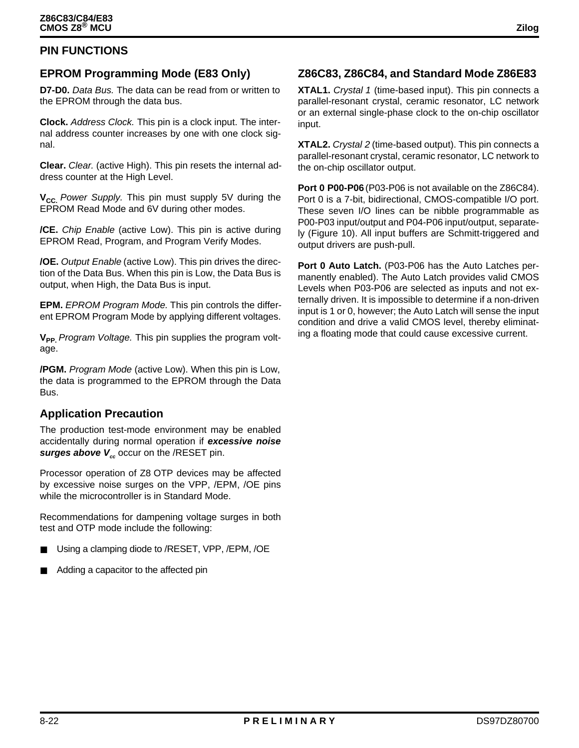### **PIN FUNCTIONS**

### **EPROM Programming Mode (E83 Only)**

**D7-D0.** Data Bus. The data can be read from or written to the EPROM through the data bus.

**Clock.** Address Clock. This pin is a clock input. The internal address counter increases by one with one clock signal.

**Clear.** Clear. (active High). This pin resets the internal address counter at the High Level.

**V<sub>CC.</sub>** Power Supply. This pin must supply 5V during the EPROM Read Mode and 6V during other modes.

**/CE.** Chip Enable (active Low). This pin is active during EPROM Read, Program, and Program Verify Modes.

**/OE.** Output Enable (active Low). This pin drives the direction of the Data Bus. When this pin is Low, the Data Bus is output, when High, the Data Bus is input.

**EPM.** EPROM Program Mode. This pin controls the different EPROM Program Mode by applying different voltages.

**V<sub>PP.</sub>** Program Voltage. This pin supplies the program voltage.

**/PGM.** Program Mode (active Low). When this pin is Low, the data is programmed to the EPROM through the Data **Bus.** 

#### **Application Precaution**

The production test-mode environment may be enabled accidentally during normal operation if **excessive noise surges above V**<sub>cc</sub> occur on the /RESET pin.

Processor operation of Z8 OTP devices may be affected by excessive noise surges on the VPP, /EPM, /OE pins while the microcontroller is in Standard Mode.

Recommendations for dampening voltage surges in both test and OTP mode include the following:

- Using a clamping diode to /RESET, VPP, /EPM, /OE
- Adding a capacitor to the affected pin

### **Z86C83, Z86C84, and Standard Mode Z86E83**

**XTAL1.** Crystal 1 (time-based input). This pin connects a parallel-resonant crystal, ceramic resonator, LC network or an external single-phase clock to the on-chip oscillator input.

**XTAL2.** Crystal 2 (time-based output). This pin connects a parallel-resonant crystal, ceramic resonator, LC network to the on-chip oscillator output.

**Port 0 P00-P06** (P03-P06 is not available on the Z86C84). Port 0 is a 7-bit, bidirectional, CMOS-compatible I/O port. These seven I/O lines can be nibble programmable as P00-P03 input/output and P04-P06 input/output, separately (Figure 10). All input buffers are Schmitt-triggered and output drivers are push-pull.

**Port 0 Auto Latch.** (P03-P06 has the Auto Latches permanently enabled). The Auto Latch provides valid CMOS Levels when P03-P06 are selected as inputs and not externally driven. It is impossible to determine if a non-driven input is 1 or 0, however; the Auto Latch will sense the input condition and drive a valid CMOS level, thereby eliminating a floating mode that could cause excessive current.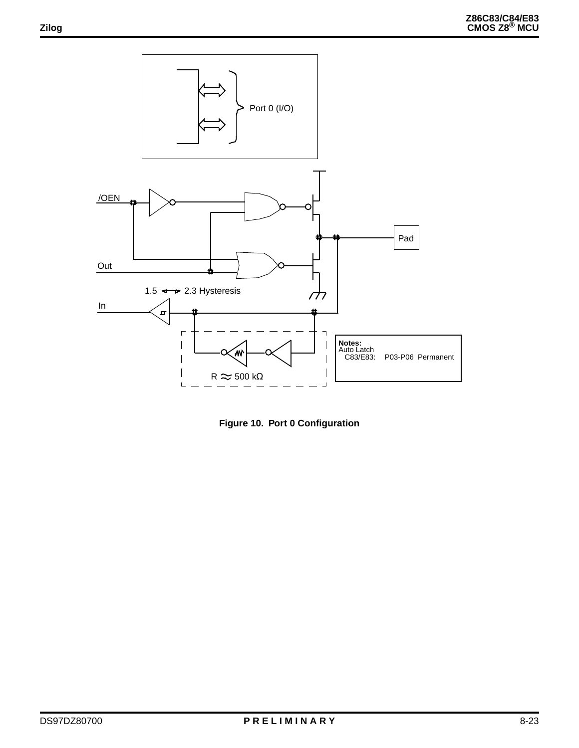

**Figure 10. Port 0 Configuration**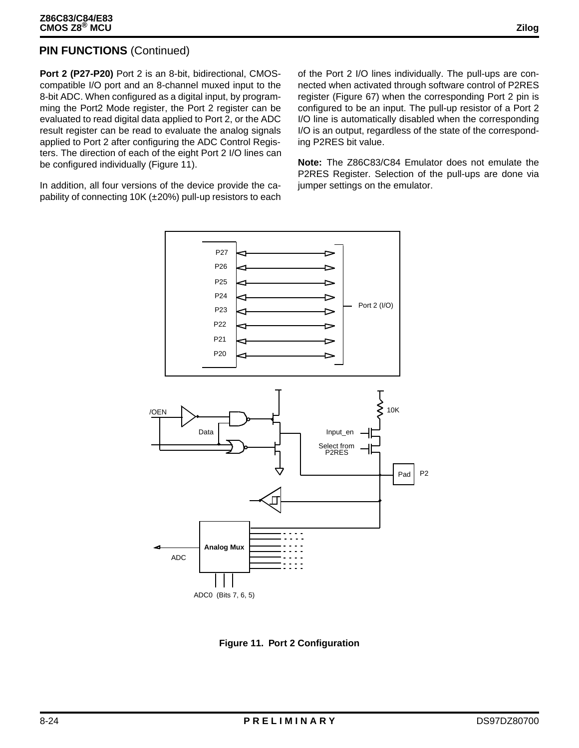### **PIN FUNCTIONS** (Continued)

**Port 2 (P27-P20)** Port 2 is an 8-bit, bidirectional, CMOScompatible I/O port and an 8-channel muxed input to the 8-bit ADC. When configured as a digital input, by programming the Port2 Mode register, the Port 2 register can be evaluated to read digital data applied to Port 2, or the ADC result register can be read to evaluate the analog signals applied to Port 2 after configuring the ADC Control Registers. The direction of each of the eight Port 2 I/O lines can be configured individually (Figure 11).

In addition, all four versions of the device provide the capability of connecting 10K (±20%) pull-up resistors to each of the Port 2 I/O lines individually. The pull-ups are connected when activated through software control of P2RES register (Figure 67) when the corresponding Port 2 pin is configured to be an input. The pull-up resistor of a Port 2 I/O line is automatically disabled when the corresponding I/O is an output, regardless of the state of the corresponding P2RES bit value.

**Note:** The Z86C83/C84 Emulator does not emulate the P2RES Register. Selection of the pull-ups are done via jumper settings on the emulator.



ADC0 (Bits 7, 6, 5)

**Figure 11. Port 2 Configuration**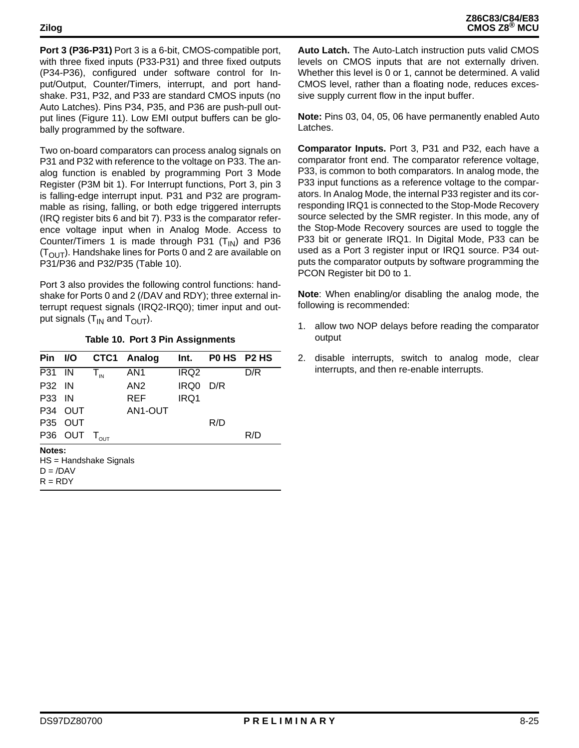**Port 3 (P36-P31)** Port 3 is a 6-bit, CMOS-compatible port, with three fixed inputs (P33-P31) and three fixed outputs (P34-P36), configured under software control for Input/Output, Counter/Timers, interrupt, and port handshake. P31, P32, and P33 are standard CMOS inputs (no Auto Latches). Pins P34, P35, and P36 are push-pull output lines (Figure 11). Low EMI output buffers can be globally programmed by the software.

Two on-board comparators can process analog signals on P31 and P32 with reference to the voltage on P33. The analog function is enabled by programming Port 3 Mode Register (P3M bit 1). For Interrupt functions, Port 3, pin 3 is falling-edge interrupt input. P31 and P32 are programmable as rising, falling, or both edge triggered interrupts (IRQ register bits 6 and bit 7). P33 is the comparator reference voltage input when in Analog Mode. Access to Counter/Timers 1 is made through P31  $(T_{IN})$  and P36  $(T<sub>OUT</sub>)$ . Handshake lines for Ports 0 and 2 are available on P31/P36 and P32/P35 (Table 10).

Port 3 also provides the following control functions: handshake for Ports 0 and 2 (/DAV and RDY); three external interrupt request signals (IRQ2-IRQ0); timer input and output signals  $(T_{IN}$  and  $T_{OUT}$ ).

|  |  | Table 10. Port 3 Pin Assignments |
|--|--|----------------------------------|
|--|--|----------------------------------|

| <b>Pin</b>                                                    | I/O        | CTC1                              | Analog     | Int.             | POHS P2HS |     |
|---------------------------------------------------------------|------------|-----------------------------------|------------|------------------|-----------|-----|
| P31                                                           | IN         | $T_{\scriptscriptstyle\text{IN}}$ | AN1        | IRQ <sub>2</sub> |           | D/R |
| <b>P32 IN</b>                                                 |            |                                   | AN2        | IRQ0             | D/R       |     |
| <b>P33 IN</b>                                                 |            |                                   | <b>REF</b> | IRQ1             |           |     |
| P34                                                           | <b>OUT</b> |                                   | AN1-OUT    |                  |           |     |
| P35                                                           | <b>OUT</b> |                                   |            |                  | R/D       |     |
|                                                               | P36 OUT    | $\mathsf{T}_{\mathsf{out}}$       |            |                  |           | R/D |
| Notes:<br>$HS =$ Handshake Signals<br>$D = /DAV$<br>$R = RDY$ |            |                                   |            |                  |           |     |

**Auto Latch.** The Auto-Latch instruction puts valid CMOS levels on CMOS inputs that are not externally driven. Whether this level is 0 or 1, cannot be determined. A valid CMOS level, rather than a floating node, reduces excessive supply current flow in the input buffer.

**Note:** Pins 03, 04, 05, 06 have permanently enabled Auto Latches.

**Comparator Inputs.** Port 3, P31 and P32, each have a comparator front end. The comparator reference voltage, P33, is common to both comparators. In analog mode, the P33 input functions as a reference voltage to the comparators. In Analog Mode, the internal P33 register and its corresponding IRQ1 is connected to the Stop-Mode Recovery source selected by the SMR register. In this mode, any of the Stop-Mode Recovery sources are used to toggle the P33 bit or generate IRQ1. In Digital Mode, P33 can be used as a Port 3 register input or IRQ1 source. P34 outputs the comparator outputs by software programming the PCON Register bit D0 to 1.

**Note**: When enabling/or disabling the analog mode, the following is recommended:

- 1. allow two NOP delays before reading the comparator output
- 2. disable interrupts, switch to analog mode, clear interrupts, and then re-enable interrupts.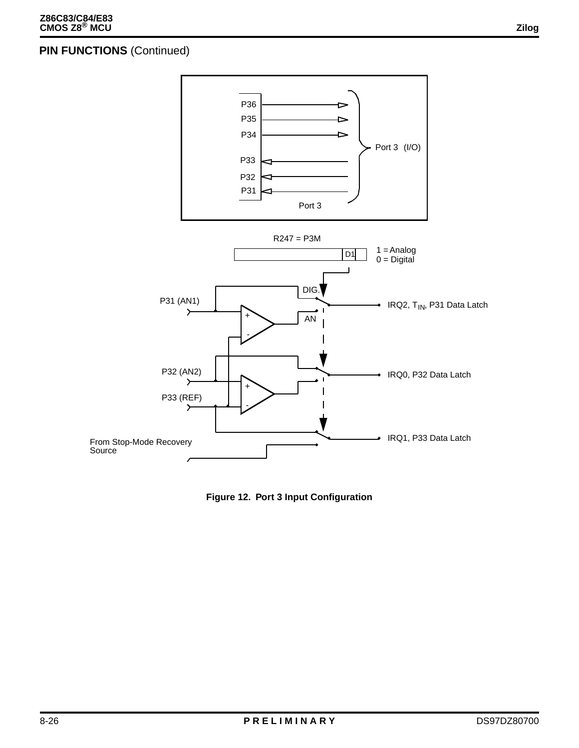### **PIN FUNCTIONS (Continued)**



**Figure 12. Port 3 Input Configuration**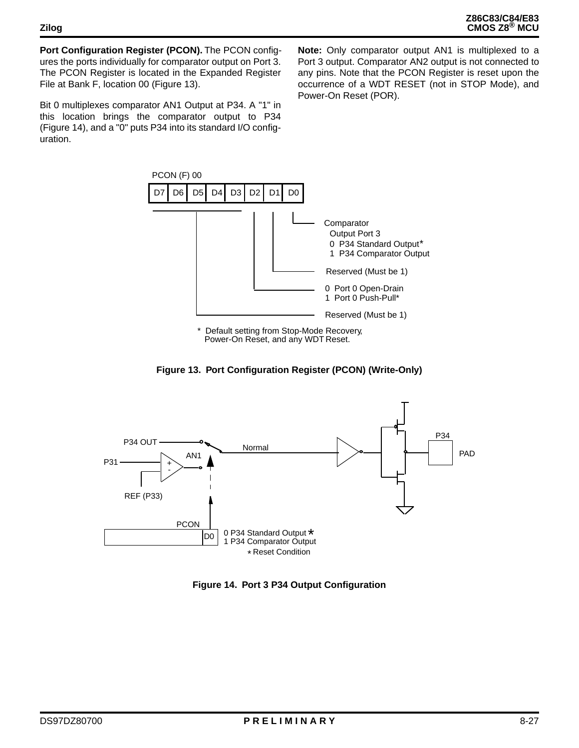**Port Configuration Register (PCON).** The PCON configures the ports individually for comparator output on Port 3. The PCON Register is located in the Expanded Register File at Bank F, location 00 (Figure 13).

Bit 0 multiplexes comparator AN1 Output at P34. A "1" in this location brings the comparator output to P34 (Figure 14), and a "0" puts P34 into its standard I/O configuration.

**Note:** Only comparator output AN1 is multiplexed to a Port 3 output. Comparator AN2 output is not connected to any pins. Note that the PCON Register is reset upon the occurrence of a WDT RESET (not in STOP Mode), and Power-On Reset (POR).



**Figure 13. Port Configuration Register (PCON) (Write-Only)**



**Figure 14. Port 3 P34 Output Configuration**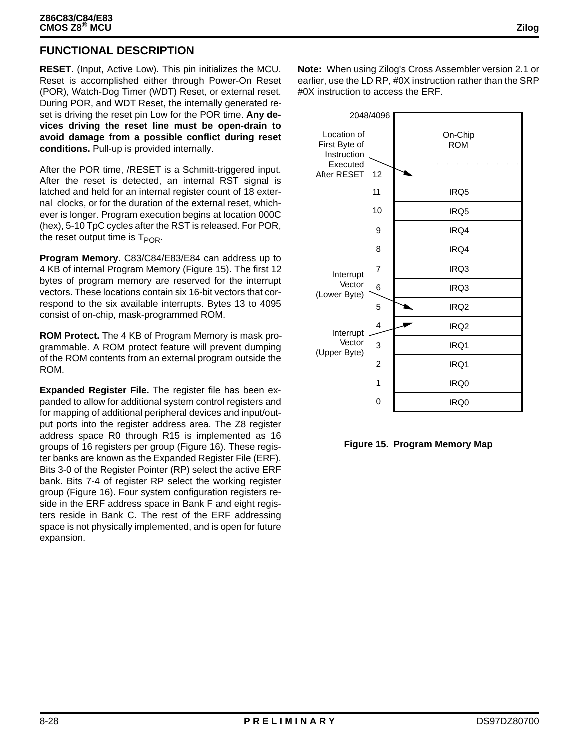### **FUNCTIONAL DESCRIPTION**

**RESET.** (Input, Active Low). This pin initializes the MCU. Reset is accomplished either through Power-On Reset (POR), Watch-Dog Timer (WDT) Reset, or external reset. During POR, and WDT Reset, the internally generated reset is driving the reset pin Low for the POR time. **Any devices driving the reset line must be open-drain to avoid damage from a possible conflict during reset conditions.** Pull-up is provided internally.

After the POR time, /RESET is a Schmitt-triggered input. After the reset is detected, an internal RST signal is latched and held for an internal register count of 18 external clocks, or for the duration of the external reset, whichever is longer. Program execution begins at location 000C (hex), 5-10 TpC cycles after the RST is released. For POR, the reset output time is  $T_{POR}$ .

**Program Memory.** C83/C84/E83/E84 can address up to 4 KB of internal Program Memory (Figure 15). The first 12 bytes of program memory are reserved for the interrupt vectors. These locations contain six 16-bit vectors that correspond to the six available interrupts. Bytes 13 to 4095 consist of on-chip, mask-programmed ROM.

**ROM Protect.** The 4 KB of Program Memory is mask programmable. A ROM protect feature will prevent dumping of the ROM contents from an external program outside the ROM.

**Expanded Register File.** The register file has been expanded to allow for additional system control registers and for mapping of additional peripheral devices and input/output ports into the register address area. The Z8 register address space R0 through R15 is implemented as 16 groups of 16 registers per group (Figure 16). These register banks are known as the Expanded Register File (ERF). Bits 3-0 of the Register Pointer (RP) select the active ERF bank. Bits 7-4 of register RP select the working register group (Figure 16). Four system configuration registers reside in the ERF address space in Bank F and eight registers reside in Bank C. The rest of the ERF addressing space is not physically implemented, and is open for future expansion.

**Note:** When using Zilog's Cross Assembler version 2.1 or earlier, use the LD RP, #0X instruction rather than the SRP #0X instruction to access the ERF.



**Figure 15. Program Memory Map**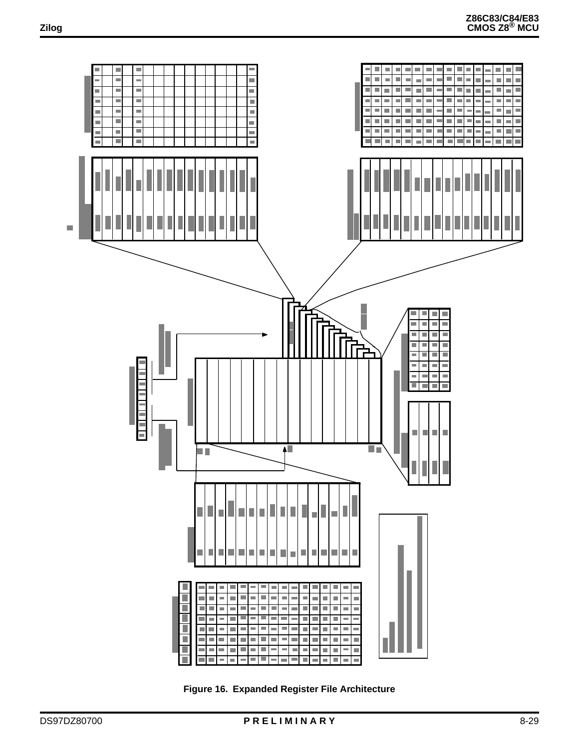

**Figure 16. Expanded Register File Architecture**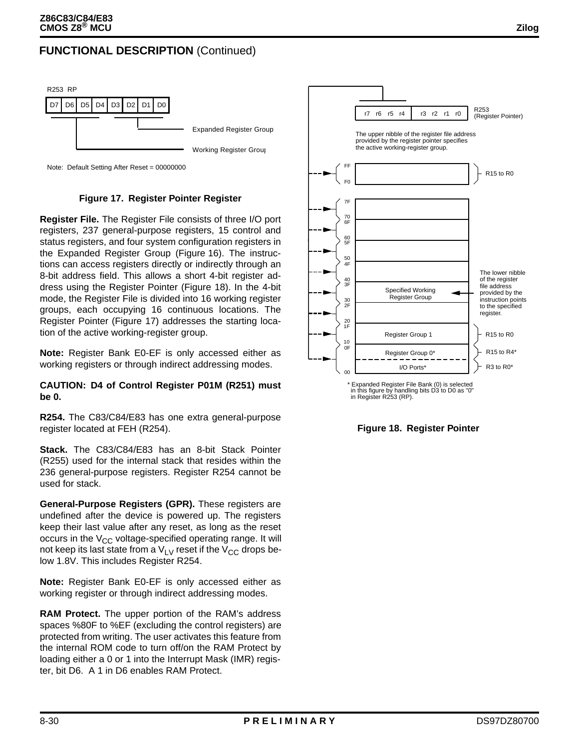### **FUNCTIONAL DESCRIPTION** (Continued)



Note: Default Setting After Reset = 00000000

#### **Figure 17. Register Pointer Register**

**Register File.** The Register File consists of three I/O port registers, 237 general-purpose registers, 15 control and status registers, and four system configuration registers in the Expanded Register Group (Figure 16). The instructions can access registers directly or indirectly through an 8-bit address field. This allows a short 4-bit register address using the Register Pointer (Figure 18). In the 4-bit mode, the Register File is divided into 16 working register groups, each occupying 16 continuous locations. The Register Pointer (Figure 17) addresses the starting location of the active working-register group.

**Note:** Register Bank E0-EF is only accessed either as working registers or through indirect addressing modes.

#### **CAUTION: D4 of Control Register P01M (R251) must be 0.**

**R254.** The C83/C84/E83 has one extra general-purpose register located at FEH (R254).

**Stack.** The C83/C84/E83 has an 8-bit Stack Pointer (R255) used for the internal stack that resides within the 236 general-purpose registers. Register R254 cannot be used for stack.

**General-Purpose Registers (GPR).** These registers are undefined after the device is powered up. The registers keep their last value after any reset, as long as the reset occurs in the  $V_{CC}$  voltage-specified operating range. It will not keep its last state from a  $V_{UV}$  reset if the  $V_{CC}$  drops below 1.8V. This includes Register R254.

**Note:** Register Bank E0-EF is only accessed either as working register or through indirect addressing modes.

**RAM Protect.** The upper portion of the RAM's address spaces %80F to %EF (excluding the control registers) are protected from writing. The user activates this feature from the internal ROM code to turn off/on the RAM Protect by loading either a 0 or 1 into the Interrupt Mask (IMR) register, bit D6. A 1 in D6 enables RAM Protect.



**Figure 18. Register Pointer**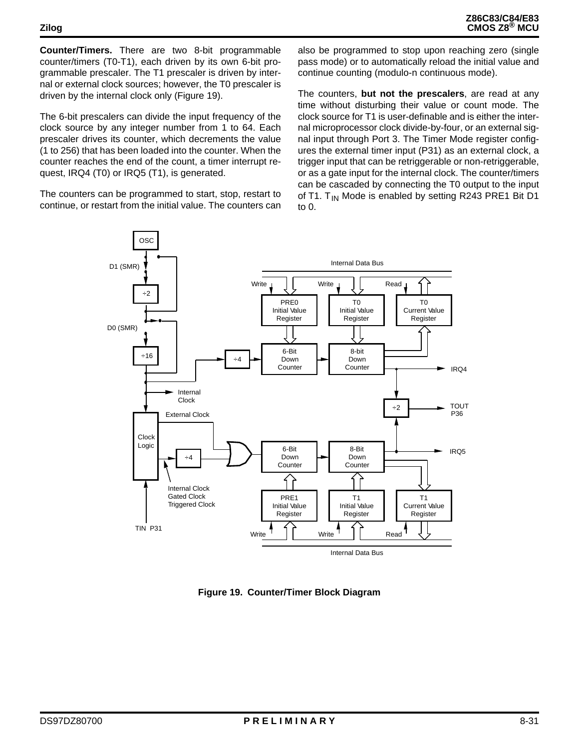**Counter/Timers.** There are two 8-bit programmable counter/timers (T0-T1), each driven by its own 6-bit programmable prescaler. The T1 prescaler is driven by internal or external clock sources; however, the T0 prescaler is driven by the internal clock only (Figure 19).

The 6-bit prescalers can divide the input frequency of the clock source by any integer number from 1 to 64. Each prescaler drives its counter, which decrements the value (1 to 256) that has been loaded into the counter. When the counter reaches the end of the count, a timer interrupt request, IRQ4 (T0) or IRQ5 (T1), is generated.

The counters can be programmed to start, stop, restart to continue, or restart from the initial value. The counters can also be programmed to stop upon reaching zero (single pass mode) or to automatically reload the initial value and continue counting (modulo-n continuous mode).

The counters, **but not the prescalers**, are read at any time without disturbing their value or count mode. The clock source for T1 is user-definable and is either the internal microprocessor clock divide-by-four, or an external signal input through Port 3. The Timer Mode register configures the external timer input (P31) as an external clock, a trigger input that can be retriggerable or non-retriggerable, or as a gate input for the internal clock. The counter/timers can be cascaded by connecting the T0 output to the input of T1. T<sub>IN</sub> Mode is enabled by setting R243 PRE1 Bit D1 to 0.



**Figure 19. Counter/Timer Block Diagram**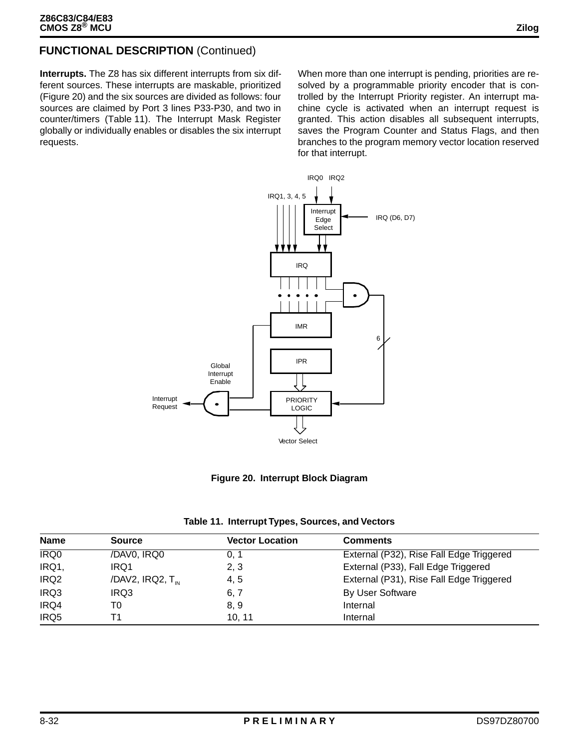### **FUNCTIONAL DESCRIPTION** (Continued)

**Interrupts.** The Z8 has six different interrupts from six different sources. These interrupts are maskable, prioritized (Figure 20) and the six sources are divided as follows: four sources are claimed by Port 3 lines P33-P30, and two in counter/timers (Table 11). The Interrupt Mask Register globally or individually enables or disables the six interrupt requests.

When more than one interrupt is pending, priorities are resolved by a programmable priority encoder that is controlled by the Interrupt Priority register. An interrupt machine cycle is activated when an interrupt request is granted. This action disables all subsequent interrupts, saves the Program Counter and Status Flags, and then branches to the program memory vector location reserved for that interrupt.





|  | Table 11. Interrupt Types, Sources, and Vectors |  |  |  |  |
|--|-------------------------------------------------|--|--|--|--|
|--|-------------------------------------------------|--|--|--|--|

| <b>Name</b>      | <b>Source</b>                | <b>Vector Location</b> | <b>Comments</b>                          |
|------------------|------------------------------|------------------------|------------------------------------------|
| <b>IRQ0</b>      | /DAV0, IRQ0                  | 0. 1                   | External (P32), Rise Fall Edge Triggered |
| IRQ1,            | IRQ1                         | 2, 3                   | External (P33), Fall Edge Triggered      |
| IRQ <sub>2</sub> | /DAV2, IRQ2, $T_{\text{in}}$ | 4, 5                   | External (P31), Rise Fall Edge Triggered |
| IRQ3             | IRQ3                         | 6, 7                   | By User Software                         |
| IRQ4             | T0                           | 8, 9                   | Internal                                 |
| IRQ5             | Г1                           | 10.11                  | Internal                                 |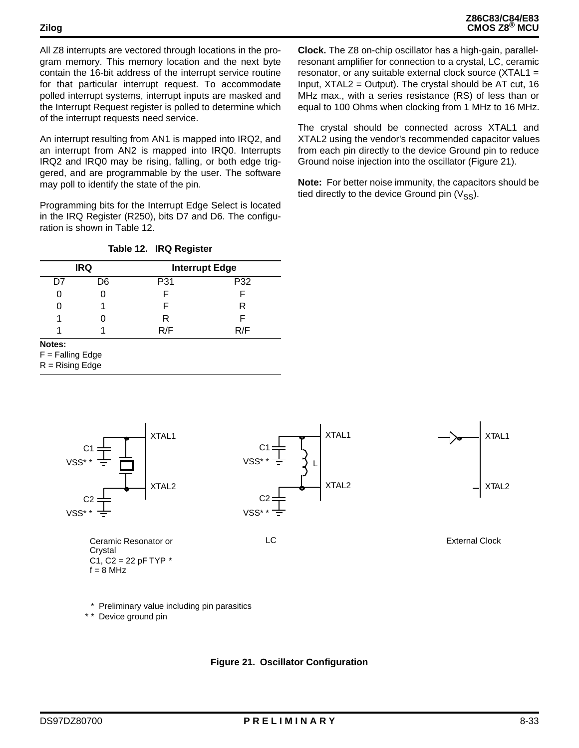All Z8 interrupts are vectored through locations in the program memory. This memory location and the next byte contain the 16-bit address of the interrupt service routine for that particular interrupt request. To accommodate polled interrupt systems, interrupt inputs are masked and the Interrupt Request register is polled to determine which of the interrupt requests need service.

An interrupt resulting from AN1 is mapped into IRQ2, and an interrupt from AN2 is mapped into IRQ0. Interrupts IRQ2 and IRQ0 may be rising, falling, or both edge triggered, and are programmable by the user. The software may poll to identify the state of the pin.

Programming bits for the Interrupt Edge Select is located in the IRQ Register (R250), bits D7 and D6. The configuration is shown in Table 12.

#### **Table 12. IRQ Register**

|    | <b>IRQ</b> | <b>Interrupt Edge</b> |     |
|----|------------|-----------------------|-----|
| D7 | D6         | P31                   | P32 |
|    |            |                       |     |
|    |            |                       | R   |
|    |            | R                     |     |
|    |            | R/F                   | R/F |

**Notes:** 

 $F =$  Falling Edge

 $R =$  Rising Edge

**Clock.** The Z8 on-chip oscillator has a high-gain, parallelresonant amplifier for connection to a crystal, LC, ceramic resonator, or any suitable external clock source (XTAL1 = Input, XTAL2 = Output). The crystal should be AT cut, 16 MHz max., with a series resistance (RS) of less than or equal to 100 Ohms when clocking from 1 MHz to 16 MHz.

The crystal should be connected across XTAL1 and XTAL2 using the vendor's recommended capacitor values from each pin directly to the device Ground pin to reduce Ground noise injection into the oscillator (Figure 21).

**Note:** For better noise immunity, the capacitors should be tied directly to the device Ground pin  $(V_{SS})$ .



\* Preliminary value including pin parasitics

\* \* Device ground pin

**Figure 21. Oscillator Configuration**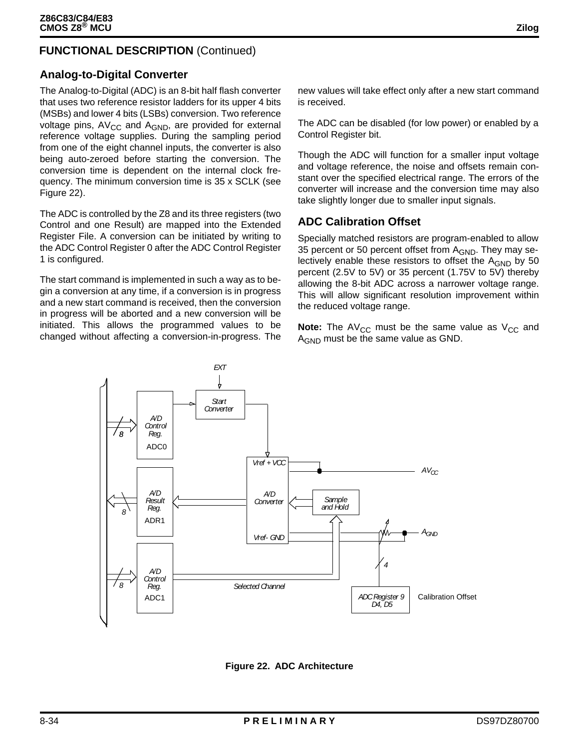### **FUNCTIONAL DESCRIPTION** (Continued)

#### **Analog-to-Digital Converter**

The Analog-to-Digital (ADC) is an 8-bit half flash converter that uses two reference resistor ladders for its upper 4 bits (MSBs) and lower 4 bits (LSBs) conversion. Two reference voltage pins,  $AV_{CC}$  and  $A_{GND}$ , are provided for external reference voltage supplies. During the sampling period from one of the eight channel inputs, the converter is also being auto-zeroed before starting the conversion. The conversion time is dependent on the internal clock frequency. The minimum conversion time is 35 x SCLK (see Figure 22).

The ADC is controlled by the Z8 and its three registers (two Control and one Result) are mapped into the Extended Register File. A conversion can be initiated by writing to the ADC Control Register 0 after the ADC Control Register 1 is configured.

The start command is implemented in such a way as to begin a conversion at any time, if a conversion is in progress and a new start command is received, then the conversion in progress will be aborted and a new conversion will be initiated. This allows the programmed values to be changed without affecting a conversion-in-progress. The

new values will take effect only after a new start command is received.

The ADC can be disabled (for low power) or enabled by a Control Register bit.

Though the ADC will function for a smaller input voltage and voltage reference, the noise and offsets remain constant over the specified electrical range. The errors of the converter will increase and the conversion time may also take slightly longer due to smaller input signals.

#### **ADC Calibration Offset**

Specially matched resistors are program-enabled to allow 35 percent or 50 percent offset from  $A_{GND}$ . They may selectively enable these resistors to offset the  $A_{GND}$  by 50 percent (2.5V to 5V) or 35 percent (1.75V to 5V) thereby allowing the 8-bit ADC across a narrower voltage range. This will allow significant resolution improvement within the reduced voltage range.

**Note:** The AV<sub>CC</sub> must be the same value as  $V_{CC}$  and A<sub>GND</sub> must be the same value as GND.



**Figure 22. ADC Architecture**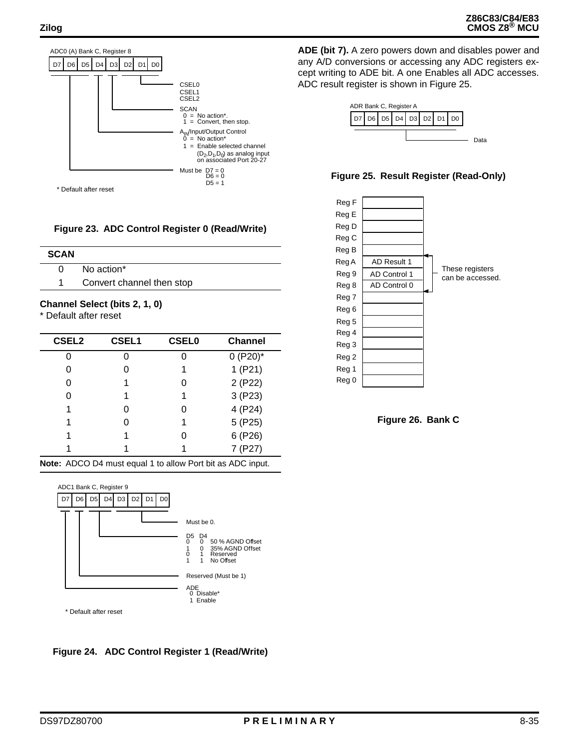

**Figure 23. ADC Control Register 0 (Read/Write)**

| <b>SCAN</b> |                           |
|-------------|---------------------------|
| 0           | No action*                |
|             | Convert channel then stop |
|             |                           |

#### **Channel Select (bits 2, 1, 0)**

\* Default after reset

| <b>CSEL2</b> | <b>CSEL1</b> | <b>CSEL0</b> | <b>Channel</b> |
|--------------|--------------|--------------|----------------|
|              |              |              | $0 (P20)^*$    |
| 0            |              |              | 1(P21)         |
| 0            |              | O            | 2 (P22)        |
|              |              |              | 3 (P23)        |
| 1            |              |              | 4 (P24)        |
| 1            |              |              | 5 (P25)        |
|              |              |              | 6 (P26)        |
|              |              |              | (P27)          |

**Note:** ADCO D4 must equal 1 to allow Port bit as ADC input.



**Figure 24. ADC Control Register 1 (Read/Write)**

**ADE (bit 7).** A zero powers down and disables power and any A/D conversions or accessing any ADC registers except writing to ADE bit. A one Enables all ADC accesses. ADC result register is shown in Figure 25.







**Figure 26. Bank C**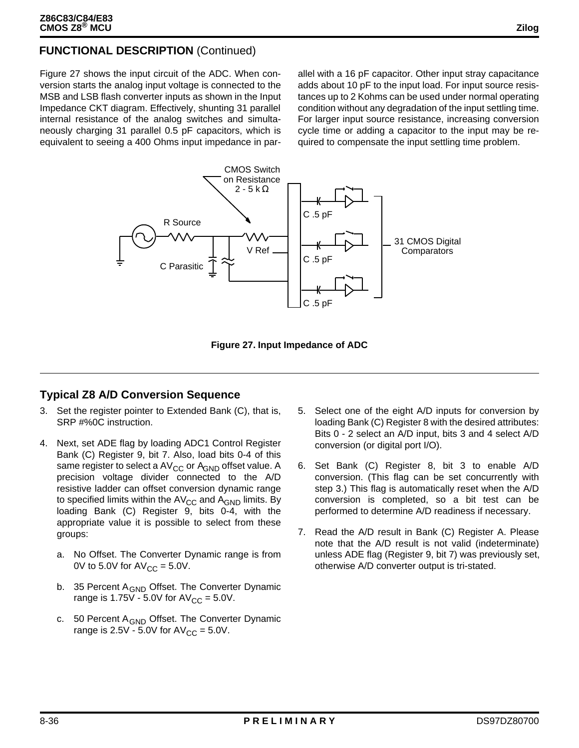Figure 27 shows the input circuit of the ADC. When conversion starts the analog input voltage is connected to the MSB and LSB flash converter inputs as shown in the Input Impedance CKT diagram. Effectively, shunting 31 parallel internal resistance of the analog switches and simultaneously charging 31 parallel 0.5 pF capacitors, which is equivalent to seeing a 400 Ohms input impedance in parallel with a 16 pF capacitor. Other input stray capacitance adds about 10 pF to the input load. For input source resistances up to 2 Kohms can be used under normal operating condition without any degradation of the input settling time. For larger input source resistance, increasing conversion cycle time or adding a capacitor to the input may be required to compensate the input settling time problem.



**Figure 27. Input Impedance of ADC**

### **Typical Z8 A/D Conversion Sequence**

- 3. Set the register pointer to Extended Bank (C), that is, SRP #%0C instruction.
- 4. Next, set ADE flag by loading ADC1 Control Register Bank (C) Register 9, bit 7. Also, load bits 0-4 of this same register to select a AV<sub>CC</sub> or A<sub>GND</sub> offset value. A precision voltage divider connected to the A/D resistive ladder can offset conversion dynamic range to specified limits within the  $AV_{CC}$  and  $A_{GND}$  limits. By loading Bank (C) Register 9, bits 0-4, with the appropriate value it is possible to select from these groups:
	- a. No Offset. The Converter Dynamic range is from 0V to 5.0V for  $AV_{CC} = 5.0V$ .
	- b. 35 Percent A<sub>GND</sub> Offset. The Converter Dynamic range is 1.75V - 5.0V for  $AV_{CC} = 5.0V$ .
	- c. 50 Percent A<sub>GND</sub> Offset. The Converter Dynamic range is  $2.5V - 5.0V$  for  $AV_{CC} = 5.0V$ .
- 5. Select one of the eight A/D inputs for conversion by loading Bank (C) Register 8 with the desired attributes: Bits 0 - 2 select an A/D input, bits 3 and 4 select A/D conversion (or digital port I/O).
- 6. Set Bank (C) Register 8, bit 3 to enable A/D conversion. (This flag can be set concurrently with step 3.) This flag is automatically reset when the A/D conversion is completed, so a bit test can be performed to determine A/D readiness if necessary.
- 7. Read the A/D result in Bank (C) Register A. Please note that the A/D result is not valid (indeterminate) unless ADE flag (Register 9, bit 7) was previously set, otherwise A/D converter output is tri-stated.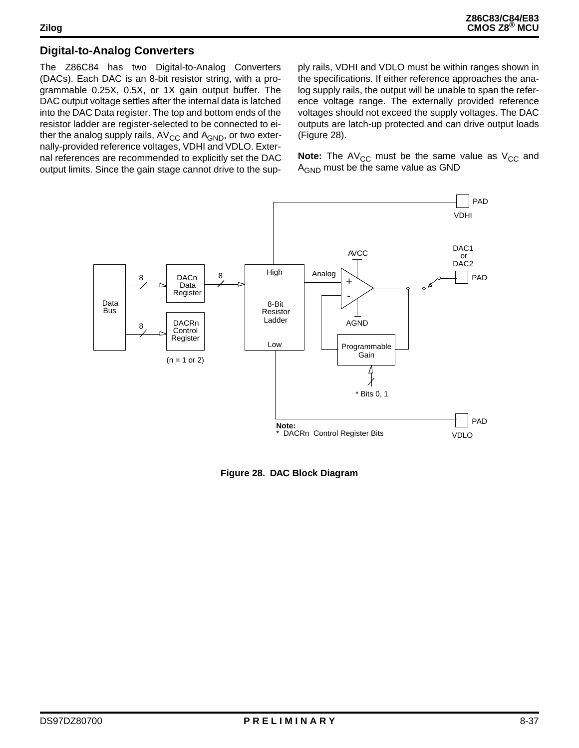### **Digital-to-Analog Converters**

The Z86C84 has two Digital-to-Analog Converters (DACs). Each DAC is an 8-bit resistor string, with a programmable 0.25X, 0.5X, or 1X gain output buffer. The DAC output voltage settles after the internal data is latched into the DAC Data register. The top and bottom ends of the resistor ladder are register-selected to be connected to either the analog supply rails,  $AV_{CC}$  and  $A_{GND}$ , or two externally-provided reference voltages, VDHI and VDLO. External references are recommended to explicitly set the DAC output limits. Since the gain stage cannot drive to the supply rails, VDHI and VDLO must be within ranges shown in the specifications. If either reference approaches the analog supply rails, the output will be unable to span the reference voltage range. The externally provided reference voltages should not exceed the supply voltages. The DAC outputs are latch-up protected and can drive output loads (Figure 28).

**Note:** The AV<sub>CC</sub> must be the same value as  $V_{CC}$  and A<sub>GND</sub> must be the same value as GND



**Figure 28. DAC Block Diagram**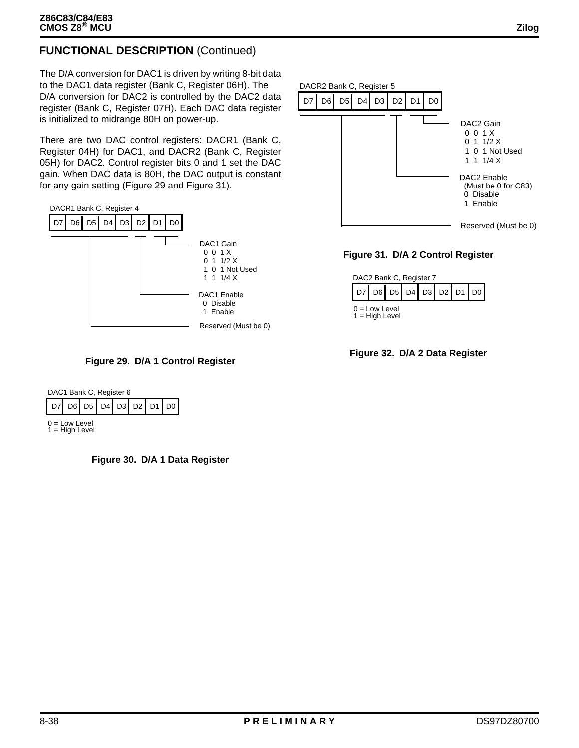### **FUNCTIONAL DESCRIPTION** (Continued)

The D/A conversion for DAC1 is driven by writing 8-bit data to the DAC1 data register (Bank C, Register 06H). The D/A conversion for DAC2 is controlled by the DAC2 data register (Bank C, Register 07H). Each DAC data register is initialized to midrange 80H on power-up.

There are two DAC control registers: DACR1 (Bank C, Register 04H) for DAC1, and DACR2 (Bank C, Register 05H) for DAC2. Control register bits 0 and 1 set the DAC gain. When DAC data is 80H, the DAC output is constant for any gain setting (Figure 29 and Figure 31).





| DAC1 Bank C, Register 6               |  |  |  |  |  |  |  |  |
|---------------------------------------|--|--|--|--|--|--|--|--|
| D7   D6   D5   D4   D3   D2   D1   D0 |  |  |  |  |  |  |  |  |
| $0 = Low Level$<br>$1 = High Level$   |  |  |  |  |  |  |  |  |

**Figure 30. D/A 1 Data Register**







**Figure 32. D/A 2 Data Register**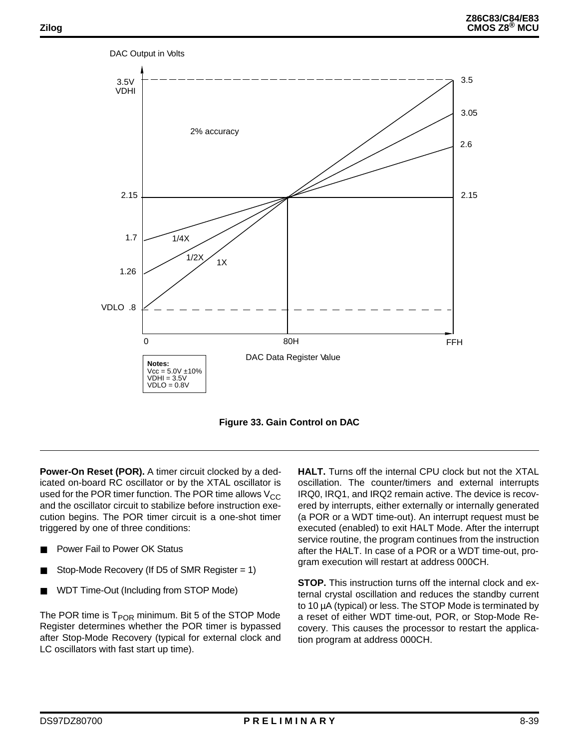

**Figure 33. Gain Control on DAC**

**Power-On Reset (POR).** A timer circuit clocked by a dedicated on-board RC oscillator or by the XTAL oscillator is used for the POR timer function. The POR time allows  $V_{CC}$ and the oscillator circuit to stabilize before instruction execution begins. The POR timer circuit is a one-shot timer triggered by one of three conditions:

- Power Fail to Power OK Status
- Stop-Mode Recovery (If D5 of SMR Register  $= 1$ )
- WDT Time-Out (Including from STOP Mode)

The POR time is  $T_{POR}$  minimum. Bit 5 of the STOP Mode Register determines whether the POR timer is bypassed after Stop-Mode Recovery (typical for external clock and LC oscillators with fast start up time).

**HALT.** Turns off the internal CPU clock but not the XTAL oscillation. The counter/timers and external interrupts IRQ0, IRQ1, and IRQ2 remain active. The device is recovered by interrupts, either externally or internally generated (a POR or a WDT time-out). An interrupt request must be executed (enabled) to exit HALT Mode. After the interrupt service routine, the program continues from the instruction after the HALT. In case of a POR or a WDT time-out, program execution will restart at address 000CH.

**STOP.** This instruction turns off the internal clock and external crystal oscillation and reduces the standby current to 10 µA (typical) or less. The STOP Mode is terminated by a reset of either WDT time-out, POR, or Stop-Mode Recovery. This causes the processor to restart the application program at address 000CH.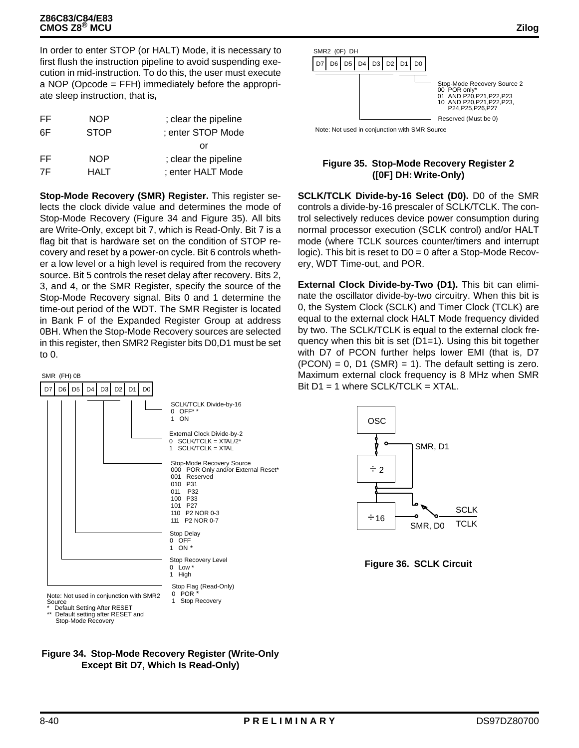In order to enter STOP (or HALT) Mode, it is necessary to first flush the instruction pipeline to avoid suspending execution in mid-instruction. To do this, the user must execute a NOP (Opcode = FFH) immediately before the appropriate sleep instruction, that is**,**

| FF | <b>NOP</b>  | ; clear the pipeline |
|----|-------------|----------------------|
| 6F | <b>STOP</b> | ; enter STOP Mode    |
|    |             | or                   |
| FF | <b>NOP</b>  | ; clear the pipeline |
| 7F | HALT        | ; enter HALT Mode    |

**Stop-Mode Recovery (SMR) Register.** This register selects the clock divide value and determines the mode of Stop-Mode Recovery (Figure 34 and Figure 35). All bits are Write-Only, except bit 7, which is Read-Only. Bit 7 is a flag bit that is hardware set on the condition of STOP recovery and reset by a power-on cycle. Bit 6 controls whether a low level or a high level is required from the recovery source. Bit 5 controls the reset delay after recovery. Bits 2, 3, and 4, or the SMR Register, specify the source of the Stop-Mode Recovery signal. Bits 0 and 1 determine the time-out period of the WDT. The SMR Register is located in Bank F of the Expanded Register Group at address 0BH. When the Stop-Mode Recovery sources are selected in this register, then SMR2 Register bits D0,D1 must be set to 0.





Note: Not used in conjunction with SMR Source

#### **Figure 35. Stop-Mode Recovery Register 2 ([0F] DH: Write-Only)**

**SCLK/TCLK Divide-by-16 Select (D0).** D0 of the SMR controls a divide-by-16 prescaler of SCLK/TCLK. The control selectively reduces device power consumption during normal processor execution (SCLK control) and/or HALT mode (where TCLK sources counter/timers and interrupt logic). This bit is reset to D0 = 0 after a Stop-Mode Recovery, WDT Time-out, and POR.

**External Clock Divide-by-Two (D1).** This bit can eliminate the oscillator divide-by-two circuitry. When this bit is 0, the System Clock (SCLK) and Timer Clock (TCLK) are equal to the external clock HALT Mode frequency divided by two. The SCLK/TCLK is equal to the external clock frequency when this bit is set (D1=1). Using this bit together with D7 of PCON further helps lower EMI (that is, D7  $(PCON) = 0$ , D1  $(SMR) = 1$ ). The default setting is zero. Maximum external clock frequency is 8 MHz when SMR Bit  $D1 = 1$  where SCLK/TCLK = XTAL.



**Figure 36. SCLK Circuit**

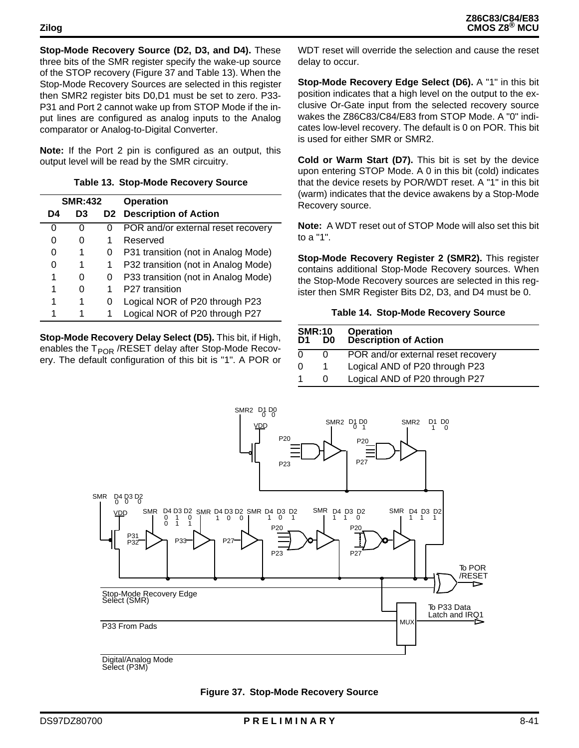**Stop-Mode Recovery Source (D2, D3, and D4).** These three bits of the SMR register specify the wake-up source of the STOP recovery (Figure 37 and Table 13). When the Stop-Mode Recovery Sources are selected in this register then SMR2 register bits D0,D1 must be set to zero. P33- P31 and Port 2 cannot wake up from STOP Mode if the input lines are configured as analog inputs to the Analog comparator or Analog-to-Digital Converter.

**Note:** If the Port 2 pin is configured as an output, this output level will be read by the SMR circuitry.

| <b>SMR:432</b> |    |   | <b>Operation</b>                    |
|----------------|----|---|-------------------------------------|
| D4             | D3 |   | <b>D2</b> Description of Action     |
| 0              |    | O | POR and/or external reset recovery  |
| 0              | 0  |   | Reserved                            |
| 0              | 1  | O | P31 transition (not in Analog Mode) |
| 0              |    | 1 | P32 transition (not in Analog Mode) |
| 1              |    | O | P33 transition (not in Analog Mode) |
| 1              |    | 1 | P27 transition                      |
| 1              |    | O | Logical NOR of P20 through P23      |
|                |    |   | Logical NOR of P20 through P27      |

**Stop-Mode Recovery Delay Select (D5).** This bit, if High, enables the  $T_{POR}$  /RESET delay after Stop-Mode Recovery. The default configuration of this bit is "1". A POR or WDT reset will override the selection and cause the reset delay to occur.

**Stop-Mode Recovery Edge Select (D6).** A "1" in this bit position indicates that a high level on the output to the exclusive Or-Gate input from the selected recovery source wakes the Z86C83/C84/E83 from STOP Mode. A "0" indicates low-level recovery. The default is 0 on POR. This bit is used for either SMR or SMR2.

**Cold or Warm Start (D7).** This bit is set by the device upon entering STOP Mode. A 0 in this bit (cold) indicates that the device resets by POR/WDT reset. A "1" in this bit (warm) indicates that the device awakens by a Stop-Mode Recovery source.

**Note:** A WDT reset out of STOP Mode will also set this bit to a "1".

**Stop-Mode Recovery Register 2 (SMR2).** This register contains additional Stop-Mode Recovery sources. When the Stop-Mode Recovery sources are selected in this register then SMR Register Bits D2, D3, and D4 must be 0.

#### **Table 14. Stop-Mode Recovery Source**

| <b>SMR:10</b><br>D0<br>D1 |  | <b>Operation<br/>Description of Action</b> |
|---------------------------|--|--------------------------------------------|
|                           |  | POR and/or external reset recovery         |
|                           |  | Logical AND of P20 through P23             |
|                           |  | Logical AND of P20 through P27             |



Select (P3M)

| Figure 37. Stop-Mode Recovery Source |  |  |  |  |
|--------------------------------------|--|--|--|--|
|--------------------------------------|--|--|--|--|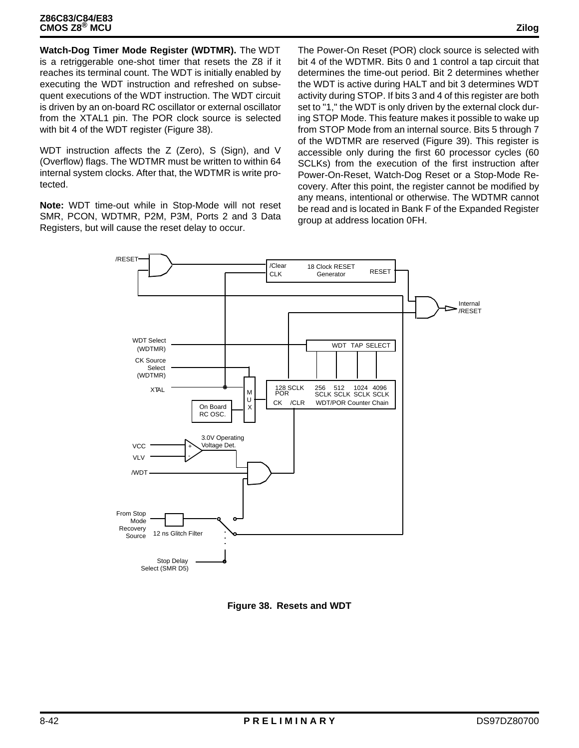**Watch-Dog Timer Mode Register (WDTMR).** The WDT is a retriggerable one-shot timer that resets the Z8 if it reaches its terminal count. The WDT is initially enabled by executing the WDT instruction and refreshed on subsequent executions of the WDT instruction. The WDT circuit is driven by an on-board RC oscillator or external oscillator from the XTAL1 pin. The POR clock source is selected with bit 4 of the WDT register (Figure 38).

WDT instruction affects the Z (Zero), S (Sign), and V (Overflow) flags. The WDTMR must be written to within 64 internal system clocks. After that, the WDTMR is write protected.

**Note:** WDT time-out while in Stop-Mode will not reset SMR, PCON, WDTMR, P2M, P3M, Ports 2 and 3 Data Registers, but will cause the reset delay to occur.

The Power-On Reset (POR) clock source is selected with bit 4 of the WDTMR. Bits 0 and 1 control a tap circuit that determines the time-out period. Bit 2 determines whether the WDT is active during HALT and bit 3 determines WDT activity during STOP. If bits 3 and 4 of this register are both set to "1," the WDT is only driven by the external clock during STOP Mode. This feature makes it possible to wake up from STOP Mode from an internal source. Bits 5 through 7 of the WDTMR are reserved (Figure 39). This register is accessible only during the first 60 processor cycles (60 SCLKs) from the execution of the first instruction after Power-On-Reset, Watch-Dog Reset or a Stop-Mode Recovery. After this point, the register cannot be modified by any means, intentional or otherwise. The WDTMR cannot be read and is located in Bank F of the Expanded Register group at address location 0FH.



**Figure 38. Resets and WDT**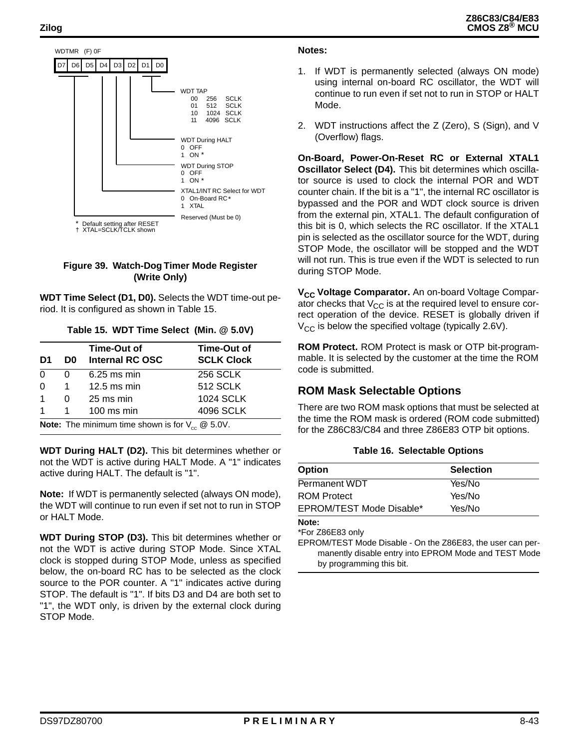

#### **Figure 39. Watch-Dog Timer Mode Register (Write Only)**

**WDT Time Select (D1, D0).** Selects the WDT time-out period. It is configured as shown in Table 15.

| Time-Out of<br><b>SCLK Clock</b>                                   |
|--------------------------------------------------------------------|
| <b>256 SCLK</b>                                                    |
| <b>512 SCLK</b>                                                    |
| <b>1024 SCLK</b>                                                   |
| 4096 SCLK                                                          |
| <b>Note:</b> The minimum time shown is for $V_{cc} \otimes 5.0V$ . |

**Table 15. WDT Time Select (Min. @ 5.0V)**

**WDT During HALT (D2).** This bit determines whether or not the WDT is active during HALT Mode. A "1" indicates active during HALT. The default is "1".

**Note:** If WDT is permanently selected (always ON mode), the WDT will continue to run even if set not to run in STOP or HALT Mode.

**WDT During STOP (D3).** This bit determines whether or not the WDT is active during STOP Mode. Since XTAL clock is stopped during STOP Mode, unless as specified below, the on-board RC has to be selected as the clock source to the POR counter. A "1" indicates active during STOP. The default is "1". If bits D3 and D4 are both set to "1", the WDT only, is driven by the external clock during STOP Mode.

#### **Notes:**

- 1. If WDT is permanently selected (always ON mode) using internal on-board RC oscillator, the WDT will continue to run even if set not to run in STOP or HALT Mode.
- 2. WDT instructions affect the Z (Zero), S (Sign), and V (Overflow) flags.

**On-Board, Power-On-Reset RC or External XTAL1 Oscillator Select (D4).** This bit determines which oscillator source is used to clock the internal POR and WDT counter chain. If the bit is a "1", the internal RC oscillator is bypassed and the POR and WDT clock source is driven from the external pin, XTAL1. The default configuration of this bit is 0, which selects the RC oscillator. If the XTAL1 pin is selected as the oscillator source for the WDT, during STOP Mode, the oscillator will be stopped and the WDT will not run. This is true even if the WDT is selected to run during STOP Mode.

**V<sub>CC</sub> Voltage Comparator.** An on-board Voltage Comparator checks that  $V_{CC}$  is at the required level to ensure correct operation of the device. RESET is globally driven if  $V_{CC}$  is below the specified voltage (typically 2.6V).

**ROM Protect.** ROM Protect is mask or OTP bit-programmable. It is selected by the customer at the time the ROM code is submitted.

#### **ROM Mask Selectable Options**

There are two ROM mask options that must be selected at the time the ROM mask is ordered (ROM code submitted) for the Z86C83/C84 and three Z86E83 OTP bit options.

#### **Table 16. Selectable Options**

| <b>Option</b>            | <b>Selection</b> |
|--------------------------|------------------|
| <b>Permanent WDT</b>     | Yes/No           |
| <b>ROM Protect</b>       | Yes/No           |
| EPROM/TEST Mode Disable* | Yes/No           |

**Note:**

\*For Z86E83 only

EPROM/TEST Mode Disable - On the Z86E83, the user can permanently disable entry into EPROM Mode and TEST Mode by programming this bit.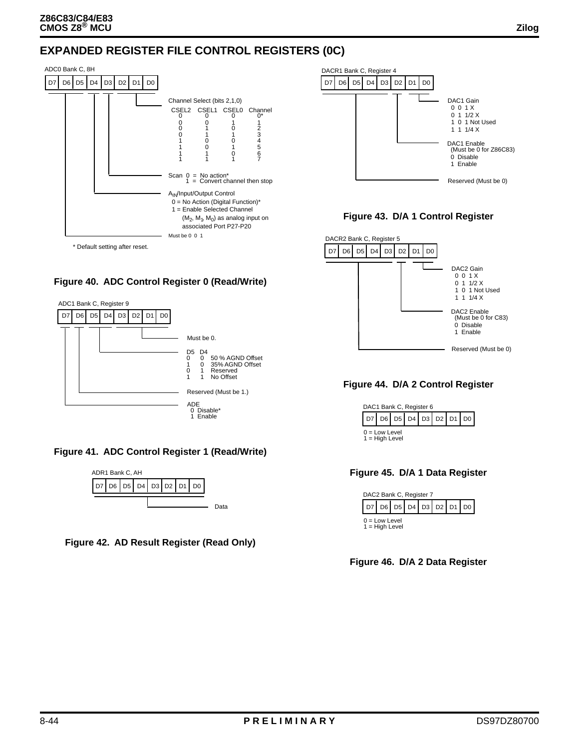



#### **Figure 43. D/A 1 Control Register**



**Figure 44. D/A 2 Control Register**



#### **Figure 45. D/A 1 Data Register**



**Figure 46. D/A 2 Data Register**





**Figure 41. ADC Control Register 1 (Read/Write)**



**Figure 42. AD Result Register (Read Only)**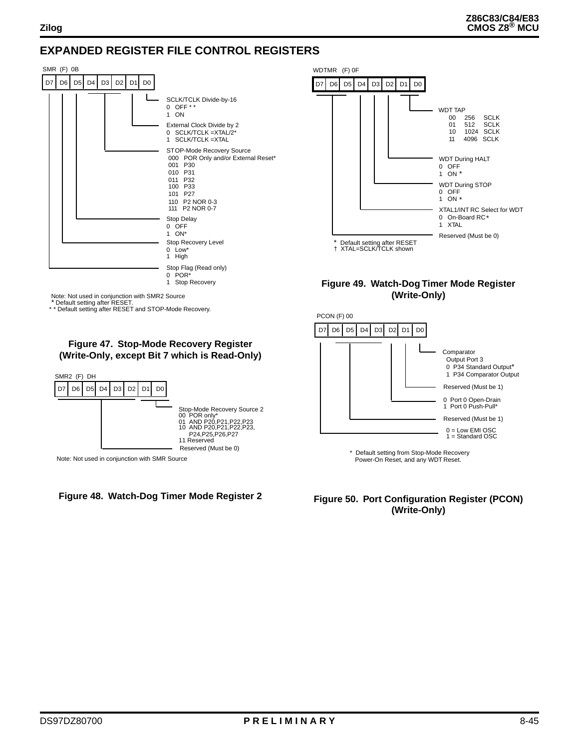### **EXPANDED REGISTER FILE CONTROL REGISTERS**





#### **Figure 49. Watch-Dog Timer Mode Register (Write-Only)**



\* Default setting from Stop-Mode Recovery Power-On Reset, and any WDT Reset.

**Figure 50. Port Configuration Register (PCON) (Write-Only)**

### \* Default setting after RESET. \* \* Default setting after RESET and STOP-Mode Recovery.

#### **Figure 47. Stop-Mode Recovery Register (Write-Only, except Bit 7 which is Read-Only)**



Note: Not used in conjunction with SMR Source

#### **Figure 48. Watch-Dog Timer Mode Register 2**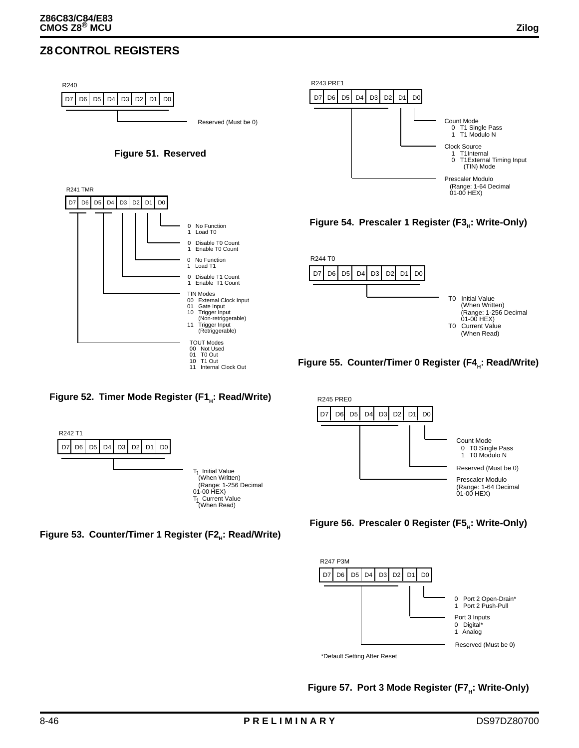### **Z8 CONTROL REGISTERS**





#### **Figure 52. Timer Mode Register (F1<sup>H</sup> : Read/Write)**

TOUT Modes 00 Not Used 01 T0 Out 10 T1 Out 11 Internal Clock Out











**Figure 57. Port 3 Mode Register (F7<sup>H</sup> : Write-Only)**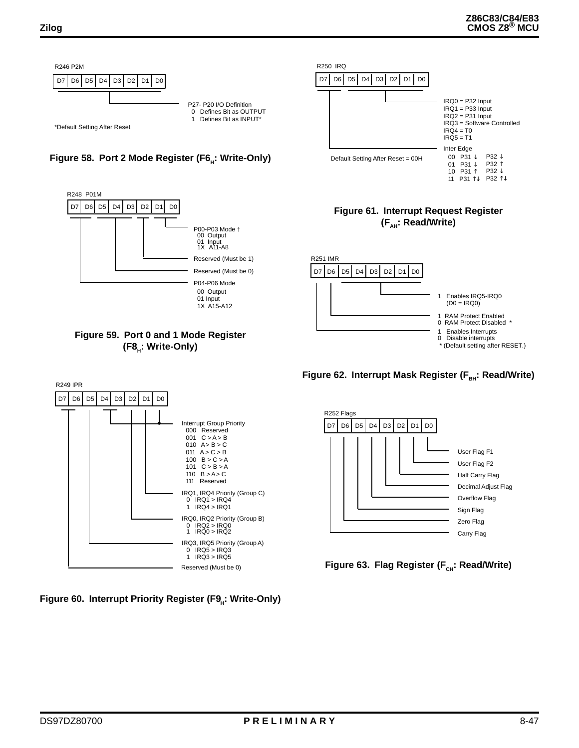

### **Figure 61. Interrupt Request Register (FAH: Read/Write)**

10 P31 ↑

11 P31 ↑↓ P32 ↑↓

P32 ↓







Figure 63. Flag Register (F<sub>CH</sub>: Read/Write)









**Figure 60. Interrupt Priority Register (F9<sup>H</sup> : Write-Only)**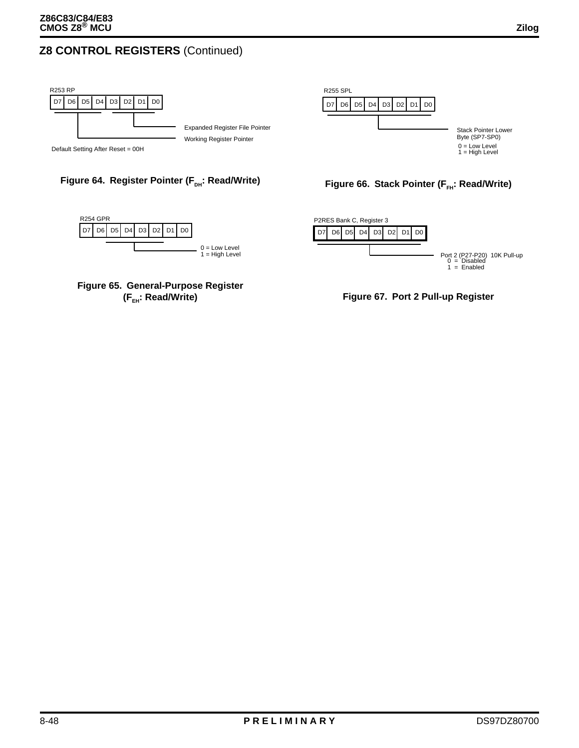### **Z8 CONTROL REGISTERS** (Continued)





#### **Figure 64. Register Pointer (F<sub>DH</sub>: Read/Write)**







**Figure 66. Stack Pointer (F<sub>FH</sub>: Read/Write)** 

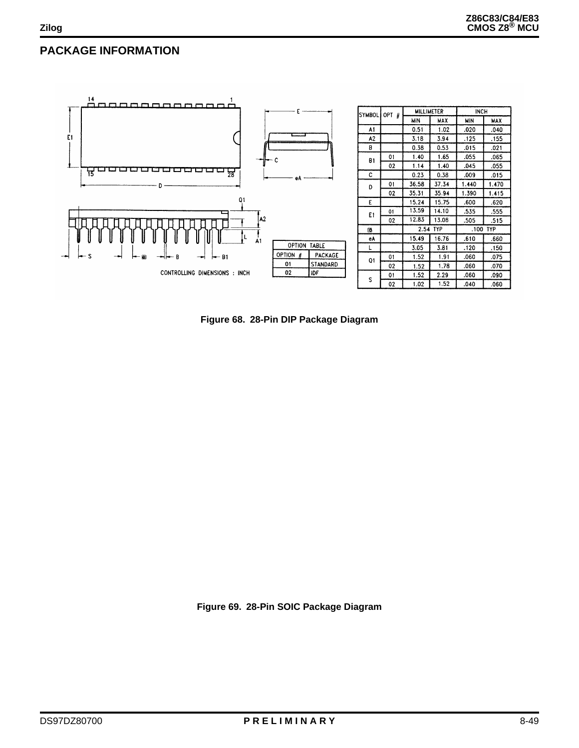### **PACKAGE INFORMATION**



**Figure 68. 28-Pin DIP Package Diagram**

**Figure 69. 28-Pin SOIC Package Diagram**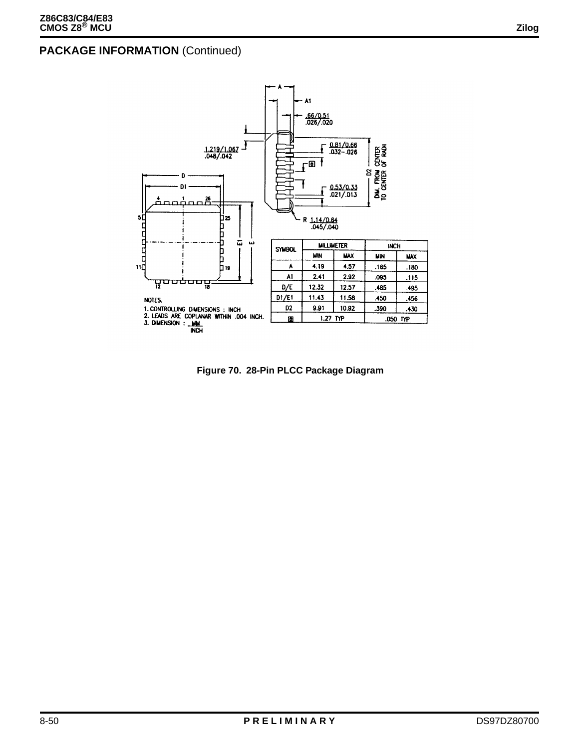

**Figure 70. 28-Pin PLCC Package Diagram**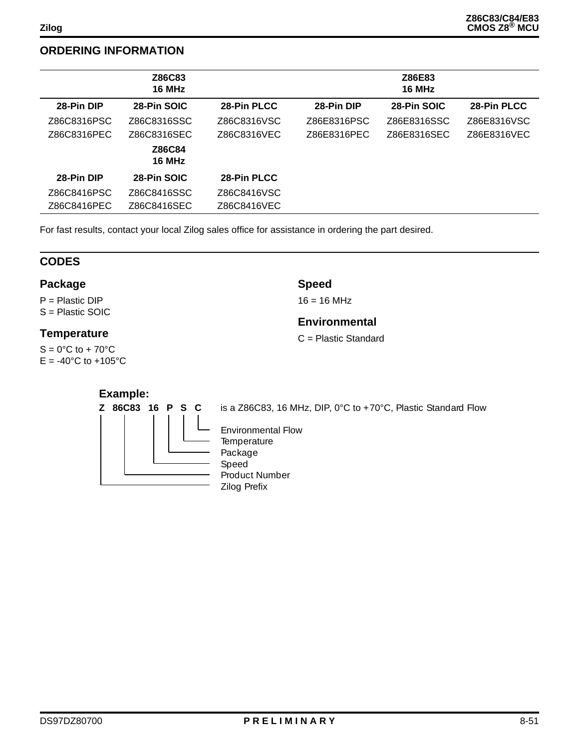### **ORDERING INFORMATION**

|             | Z86C83<br>16 MHz |             | Z86E83<br>16 MHz |             |             |
|-------------|------------------|-------------|------------------|-------------|-------------|
| 28-Pin DIP  | 28-Pin SOIC      | 28-Pin PLCC | 28-Pin DIP       | 28-Pin SOIC | 28-Pin PLCC |
| Z86C8316PSC | Z86C8316SSC      | Z86C8316VSC | Z86E8316PSC      | Z86E8316SSC | Z86E8316VSC |
| Z86C8316PEC | Z86C8316SEC      | Z86C8316VEC | Z86E8316PEC      | Z86E8316SEC | Z86E8316VEC |
|             | Z86C84<br>16 MHz |             |                  |             |             |
| 28-Pin DIP  | 28-Pin SOIC      | 28-Pin PLCC |                  |             |             |
| Z86C8416PSC | Z86C8416SSC      | Z86C8416VSC |                  |             |             |
| Z86C8416PEC | Z86C8416SEC      | Z86C8416VEC |                  |             |             |

**Speed**  $16 = 16$  MHz

**Environmental** C = Plastic Standard

For fast results, contact your local Zilog sales office for assistance in ordering the part desired.

### **CODES**

#### **Package**

P = Plastic DIP S = Plastic SOIC

#### **Temperature**

 $S = 0^\circ C$  to + 70 $^\circ C$  $E = -40^{\circ}C$  to  $+105^{\circ}C$ 

#### **Example:**

**Z 86C83 16 P S C**

is a Z86C83, 16 MHz, DIP, 0°C to +70°C, Plastic Standard Flow

Environmental Flow **Temperature** Package Speed Product Number Zilog Prefix